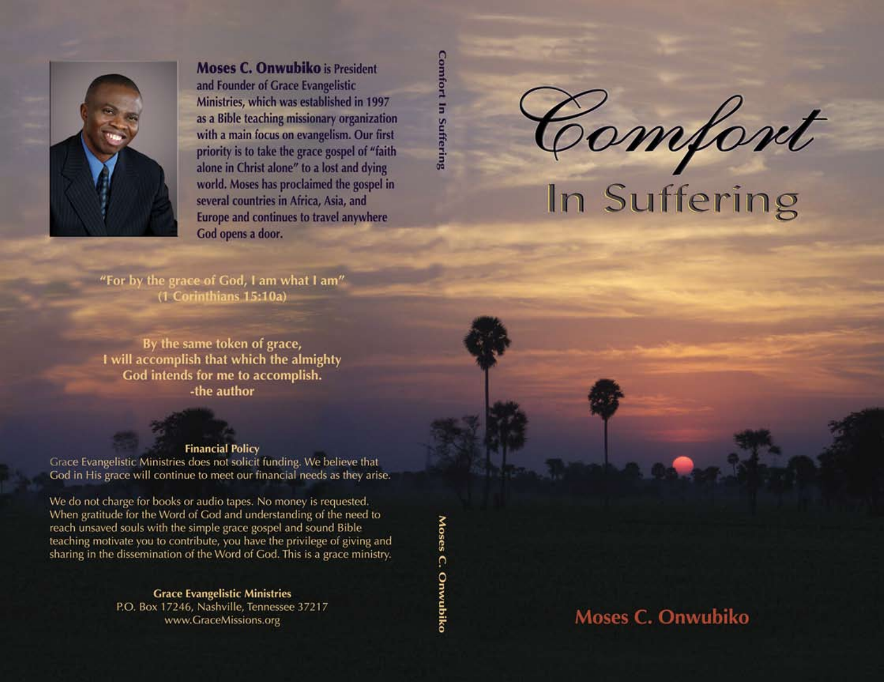Comfont

# In Suffering

**Moses C. Onwubiko**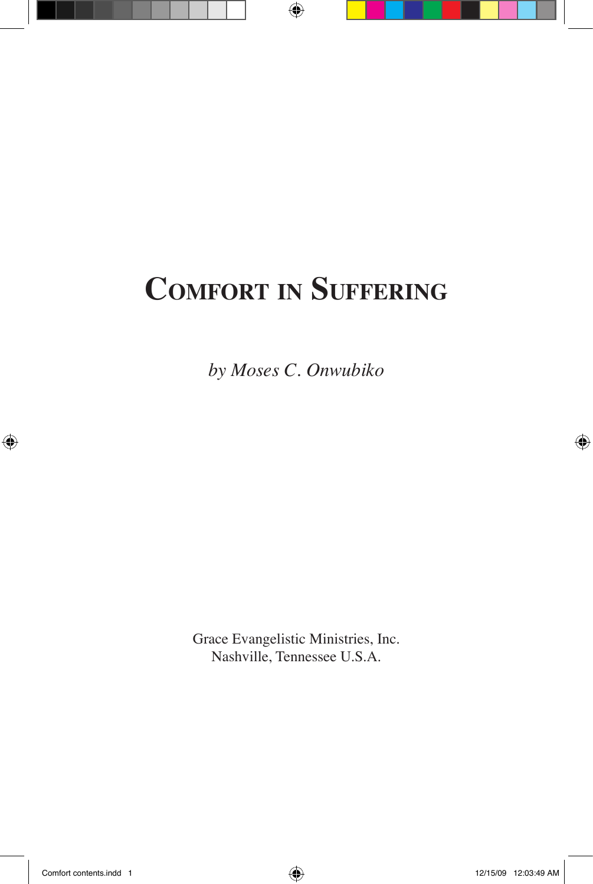# **Comfort in Suffering**

*by Moses C. Onwubiko*

Grace Evangelistic Ministries, Inc. Nashville, Tennessee U.S.A.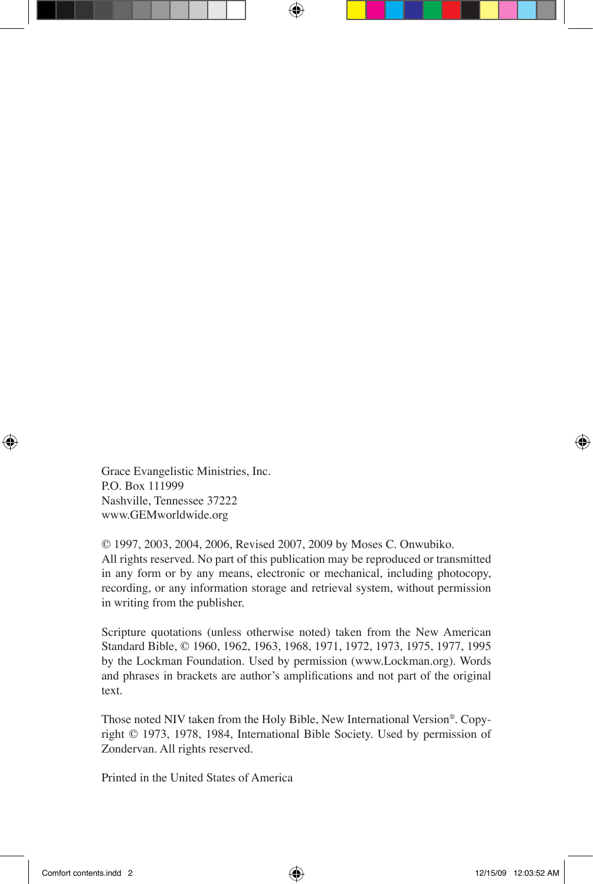Grace Evangelistic Ministries, Inc. P.O. Box 111999 Nashville, Tennessee 37222 www.GEMworldwide.org

© 1997, 2003, 2004, 2006, Revised 2007, 2009 by Moses C. Onwubiko. All rights reserved. No part of this publication may be reproduced or transmitted in any form or by any means, electronic or mechanical, including photocopy, recording, or any information storage and retrieval system, without permission in writing from the publisher.

Scripture quotations (unless otherwise noted) taken from the New American Standard Bible, © 1960, 1962, 1963, 1968, 1971, 1972, 1973, 1975, 1977, 1995 by the Lockman Foundation. Used by permission (www.Lockman.org). Words and phrases in brackets are author's amplifications and not part of the original text.

Those noted NIV taken from the Holy Bible, New International Version®. Copyright © 1973, 1978, 1984, International Bible Society. Used by permission of Zondervan. All rights reserved.

Printed in the United States of America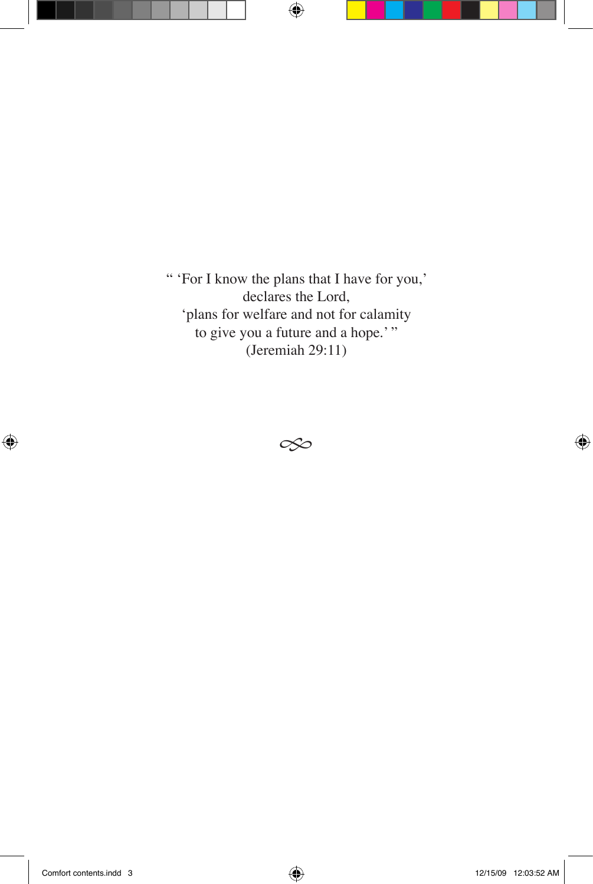" 'For I know the plans that I have for you,' declares the Lord, 'plans for welfare and not for calamity to give you a future and a hope.'" (Jeremiah 29:11)

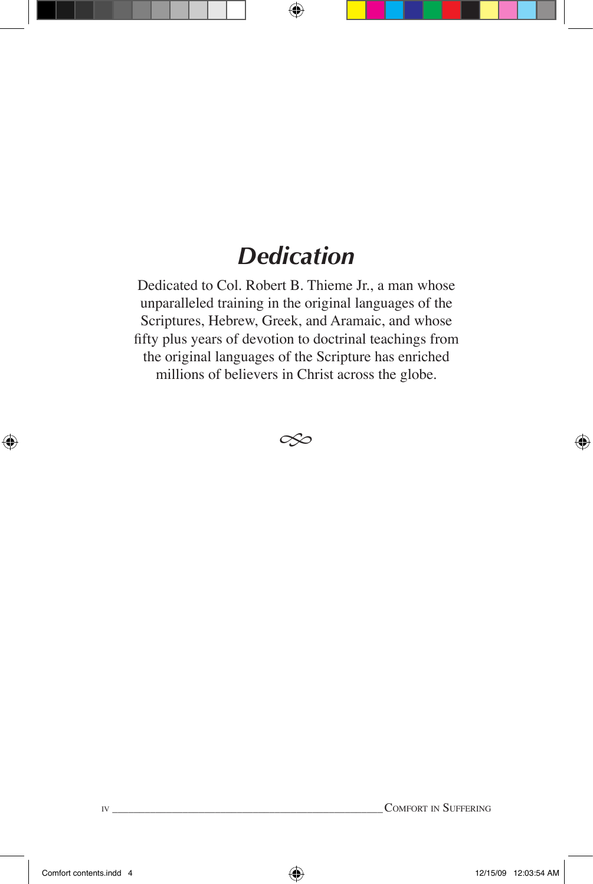#### *Dedication*

Dedicated to Col. Robert B. Thieme Jr., a man whose unparalleled training in the original languages of the Scriptures, Hebrew, Greek, and Aramaic, and whose fifty plus years of devotion to doctrinal teachings from the original languages of the Scripture has enriched millions of believers in Christ across the globe.

 $\infty$ 

iv\_\_\_\_\_\_\_\_\_\_\_\_\_\_\_\_\_\_\_\_\_\_\_\_\_\_\_\_\_\_\_\_\_\_\_\_\_\_\_\_\_\_\_\_\_\_\_\_\_\_\_Comfort in Suffering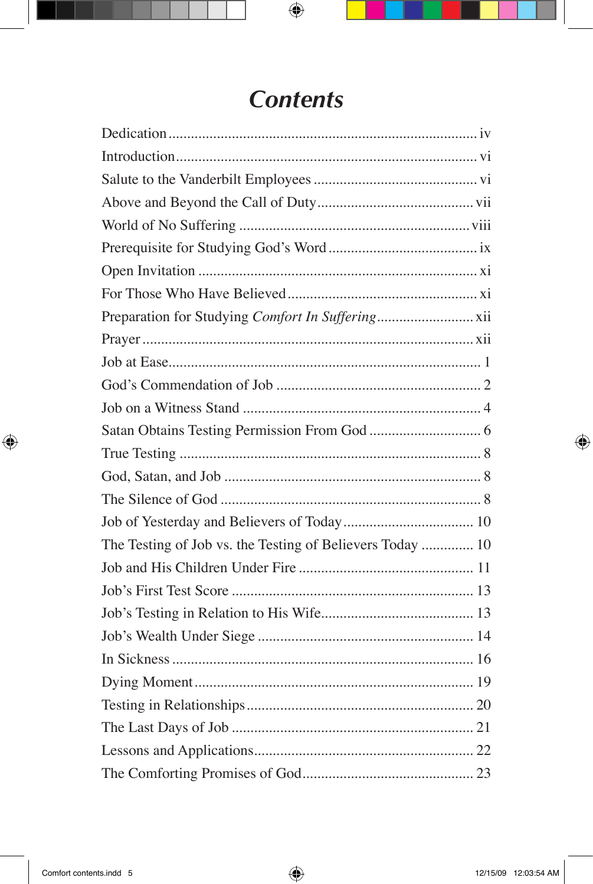#### **Contents**

| The Testing of Job vs. the Testing of Believers Today  10 |  |
|-----------------------------------------------------------|--|
|                                                           |  |
|                                                           |  |
|                                                           |  |
|                                                           |  |
|                                                           |  |
|                                                           |  |
|                                                           |  |
|                                                           |  |
|                                                           |  |
|                                                           |  |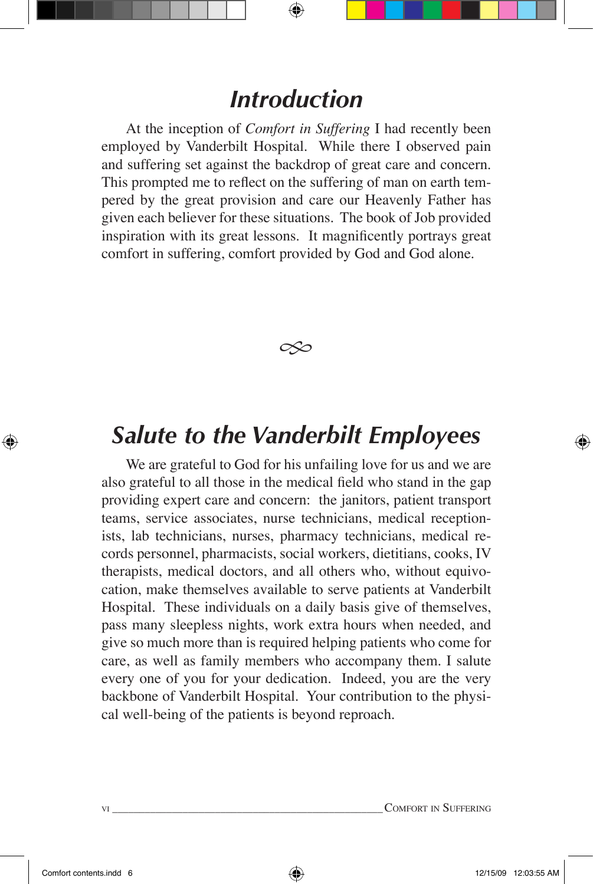#### *Introduction*

At the inception of *Comfort in Suffering* I had recently been employed by Vanderbilt Hospital. While there I observed pain and suffering set against the backdrop of great care and concern. This prompted me to reflect on the suffering of man on earth tempered by the great provision and care our Heavenly Father has given each believer for these situations. The book of Job provided inspiration with its great lessons. It magnificently portrays great comfort in suffering, comfort provided by God and God alone.



#### *Salute to the Vanderbilt Employees*

We are grateful to God for his unfailing love for us and we are also grateful to all those in the medical field who stand in the gap providing expert care and concern: the janitors, patient transport teams, service associates, nurse technicians, medical receptionists, lab technicians, nurses, pharmacy technicians, medical records personnel, pharmacists, social workers, dietitians, cooks, IV therapists, medical doctors, and all others who, without equivocation, make themselves available to serve patients at Vanderbilt Hospital. These individuals on a daily basis give of themselves, pass many sleepless nights, work extra hours when needed, and give so much more than is required helping patients who come for care, as well as family members who accompany them. I salute every one of you for your dedication. Indeed, you are the very backbone of Vanderbilt Hospital. Your contribution to the physical well-being of the patients is beyond reproach.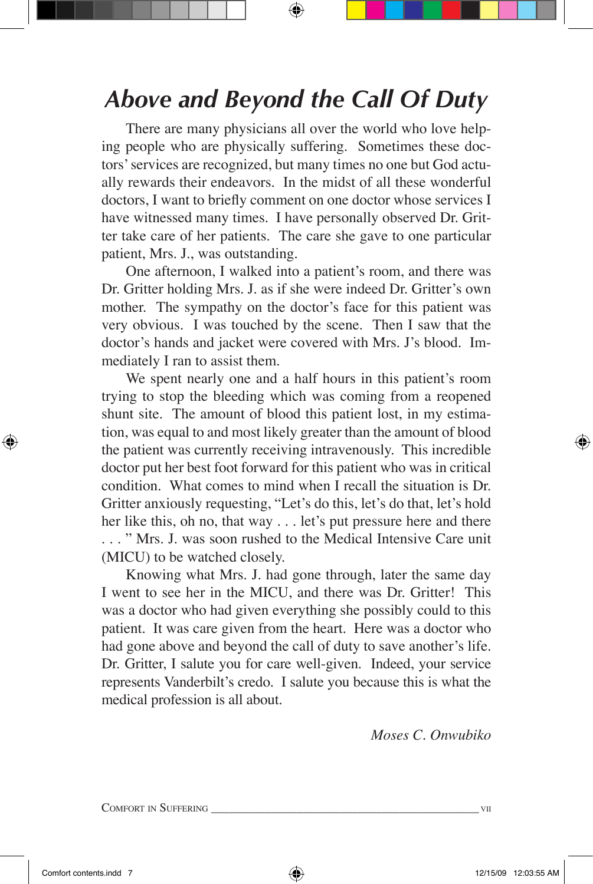# *Above and Beyond the Call Of Duty*

There are many physicians all over the world who love helping people who are physically suffering. Sometimes these doctors' services are recognized, but many times no one but God actually rewards their endeavors. In the midst of all these wonderful doctors, I want to briefly comment on one doctor whose services I have witnessed many times. I have personally observed Dr. Gritter take care of her patients. The care she gave to one particular patient, Mrs. J., was outstanding.

 One afternoon, I walked into a patient's room, and there was Dr. Gritter holding Mrs. J. as if she were indeed Dr. Gritter's own mother. The sympathy on the doctor's face for this patient was very obvious. I was touched by the scene. Then I saw that the doctor's hands and jacket were covered with Mrs. J's blood. Immediately I ran to assist them.

We spent nearly one and a half hours in this patient's room trying to stop the bleeding which was coming from a reopened shunt site. The amount of blood this patient lost, in my estimation, was equal to and most likely greater than the amount of blood the patient was currently receiving intravenously. This incredible doctor put her best foot forward for this patient who was in critical condition. What comes to mind when I recall the situation is Dr. Gritter anxiously requesting, "Let's do this, let's do that, let's hold her like this, oh no, that way . . . let's put pressure here and there . . . " Mrs. J. was soon rushed to the Medical Intensive Care unit (MICU) to be watched closely.

Knowing what Mrs. J. had gone through, later the same day I went to see her in the MICU, and there was Dr. Gritter! This was a doctor who had given everything she possibly could to this patient. It was care given from the heart. Here was a doctor who had gone above and beyond the call of duty to save another's life. Dr. Gritter, I salute you for care well-given. Indeed, your service represents Vanderbilt's credo. I salute you because this is what the medical profession is all about.

*Moses C. Onwubiko*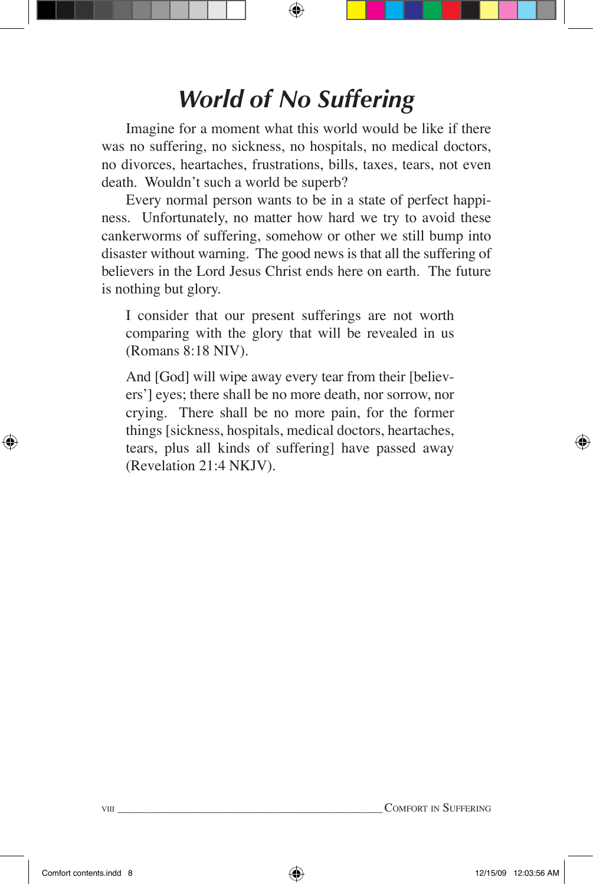# *World of No Suffering*

Imagine for a moment what this world would be like if there was no suffering, no sickness, no hospitals, no medical doctors, no divorces, heartaches, frustrations, bills, taxes, tears, not even death. Wouldn't such a world be superb?

Every normal person wants to be in a state of perfect happiness. Unfortunately, no matter how hard we try to avoid these cankerworms of suffering, somehow or other we still bump into disaster without warning. The good news is that all the suffering of believers in the Lord Jesus Christ ends here on earth. The future is nothing but glory.

I consider that our present sufferings are not worth comparing with the glory that will be revealed in us (Romans 8:18 NIV).

And [God] will wipe away every tear from their [believers'] eyes; there shall be no more death, nor sorrow, nor crying. There shall be no more pain, for the former things [sickness, hospitals, medical doctors, heartaches, tears, plus all kinds of suffering] have passed away (Revelation 21:4 NKJV).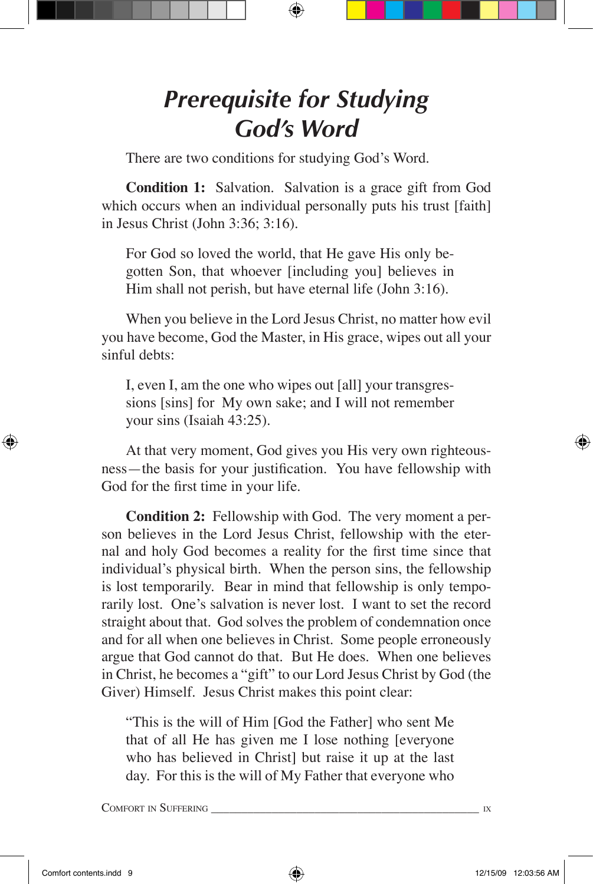### *Prerequisite for Studying God's Word*

There are two conditions for studying God's Word.

**Condition 1:** Salvation. Salvation is a grace gift from God which occurs when an individual personally puts his trust [faith] in Jesus Christ (John 3:36; 3:16).

For God so loved the world, that He gave His only begotten Son, that whoever [including you] believes in Him shall not perish, but have eternal life (John 3:16).

When you believe in the Lord Jesus Christ, no matter how evil you have become, God the Master, in His grace, wipes out all your sinful debts:

I, even I, am the one who wipes out [all] your transgressions [sins] for My own sake; and I will not remember your sins (Isaiah 43:25).

At that very moment, God gives you His very own righteousness—the basis for your justification. You have fellowship with God for the first time in your life.

**Condition 2:** Fellowship with God. The very moment a person believes in the Lord Jesus Christ, fellowship with the eternal and holy God becomes a reality for the first time since that individual's physical birth. When the person sins, the fellowship is lost temporarily. Bear in mind that fellowship is only temporarily lost. One's salvation is never lost. I want to set the record straight about that. God solves the problem of condemnation once and for all when one believes in Christ. Some people erroneously argue that God cannot do that. But He does. When one believes in Christ, he becomes a "gift" to our Lord Jesus Christ by God (the Giver) Himself. Jesus Christ makes this point clear:

"This is the will of Him [God the Father] who sent Me that of all He has given me I lose nothing [everyone who has believed in Christ] but raise it up at the last day. For this is the will of My Father that everyone who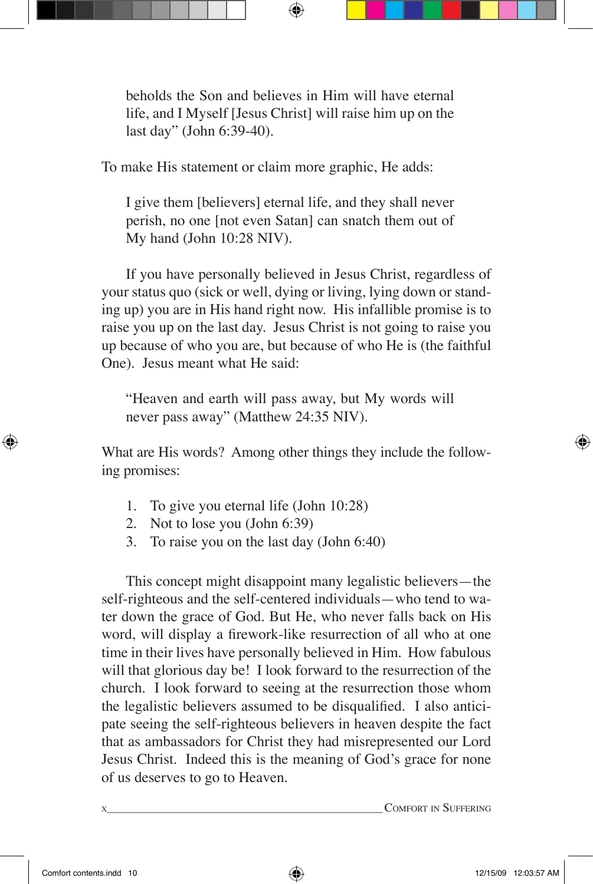beholds the Son and believes in Him will have eternal life, and I Myself [Jesus Christ] will raise him up on the last day" (John 6:39-40).

To make His statement or claim more graphic, He adds:

I give them [believers] eternal life, and they shall never perish, no one [not even Satan] can snatch them out of My hand (John 10:28 NIV).

If you have personally believed in Jesus Christ, regardless of your status quo (sick or well, dying or living, lying down or standing up) you are in His hand right now. His infallible promise is to raise you up on the last day. Jesus Christ is not going to raise you up because of who you are, but because of who He is (the faithful One). Jesus meant what He said:

"Heaven and earth will pass away, but My words will never pass away" (Matthew 24:35 NIV).

What are His words? Among other things they include the following promises:

- 1. To give you eternal life (John 10:28)
- 2. Not to lose you (John 6:39)
- 3. To raise you on the last day (John 6:40)

This concept might disappoint many legalistic believers—the self-righteous and the self-centered individuals—who tend to water down the grace of God. But He, who never falls back on His word, will display a firework-like resurrection of all who at one time in their lives have personally believed in Him. How fabulous will that glorious day be! I look forward to the resurrection of the church. I look forward to seeing at the resurrection those whom the legalistic believers assumed to be disqualified. I also anticipate seeing the self-righteous believers in heaven despite the fact that as ambassadors for Christ they had misrepresented our Lord Jesus Christ. Indeed this is the meaning of God's grace for none of us deserves to go to Heaven.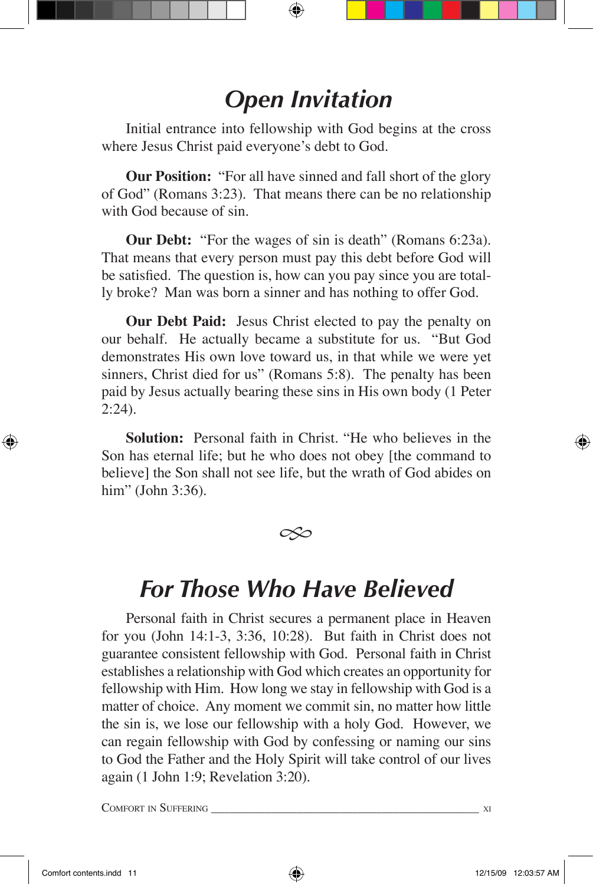### *Open Invitation*

Initial entrance into fellowship with God begins at the cross where Jesus Christ paid everyone's debt to God.

**Our Position:** "For all have sinned and fall short of the glory of God" (Romans 3:23). That means there can be no relationship with God because of sin.

**Our Debt:** "For the wages of sin is death" (Romans 6:23a). That means that every person must pay this debt before God will be satisfied. The question is, how can you pay since you are totally broke? Man was born a sinner and has nothing to offer God.

**Our Debt Paid:** Jesus Christ elected to pay the penalty on our behalf. He actually became a substitute for us. "But God demonstrates His own love toward us, in that while we were yet sinners, Christ died for us" (Romans 5:8). The penalty has been paid by Jesus actually bearing these sins in His own body (1 Peter 2:24).

**Solution:** Personal faith in Christ. "He who believes in the Son has eternal life; but he who does not obey [the command to believe] the Son shall not see life, but the wrath of God abides on him" (John 3:36).

 $\infty$ 

#### *For Those Who Have Believed*

Personal faith in Christ secures a permanent place in Heaven for you (John 14:1-3, 3:36, 10:28). But faith in Christ does not guarantee consistent fellowship with God. Personal faith in Christ establishes a relationship with God which creates an opportunity for fellowship with Him. How long we stay in fellowship with God is a matter of choice. Any moment we commit sin, no matter how little the sin is, we lose our fellowship with a holy God. However, we can regain fellowship with God by confessing or naming our sins to God the Father and the Holy Spirit will take control of our lives again (1 John 1:9; Revelation 3:20).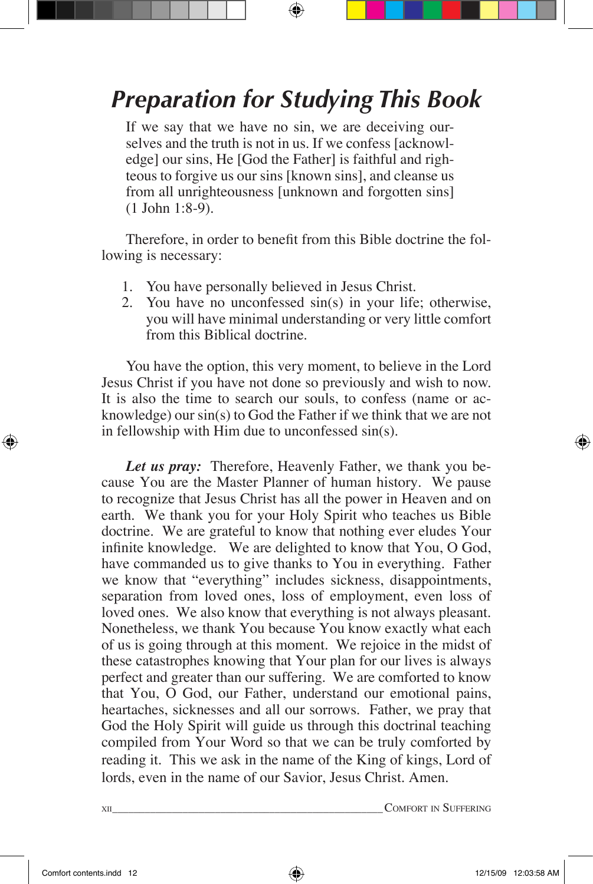# *Preparation for Studying This Book*

If we say that we have no sin, we are deceiving ourselves and the truth is not in us. If we confess [acknowledge] our sins, He [God the Father] is faithful and righteous to forgive us our sins [known sins], and cleanse us from all unrighteousness [unknown and forgotten sins] (1 John 1:8-9).

Therefore, in order to benefit from this Bible doctrine the following is necessary:

- 1. You have personally believed in Jesus Christ.
- 2. You have no unconfessed sin(s) in your life; otherwise, you will have minimal understanding or very little comfort from this Biblical doctrine.

You have the option, this very moment, to believe in the Lord Jesus Christ if you have not done so previously and wish to now. It is also the time to search our souls, to confess (name or acknowledge) our sin(s) to God the Father if we think that we are not in fellowship with Him due to unconfessed sin(s).

*Let us pray:* Therefore, Heavenly Father, we thank you because You are the Master Planner of human history. We pause to recognize that Jesus Christ has all the power in Heaven and on earth. We thank you for your Holy Spirit who teaches us Bible doctrine. We are grateful to know that nothing ever eludes Your infinite knowledge. We are delighted to know that You, O God, have commanded us to give thanks to You in everything. Father we know that "everything" includes sickness, disappointments, separation from loved ones, loss of employment, even loss of loved ones. We also know that everything is not always pleasant. Nonetheless, we thank You because You know exactly what each of us is going through at this moment. We rejoice in the midst of these catastrophes knowing that Your plan for our lives is always perfect and greater than our suffering. We are comforted to know that You, O God, our Father, understand our emotional pains, heartaches, sicknesses and all our sorrows. Father, we pray that God the Holy Spirit will guide us through this doctrinal teaching compiled from Your Word so that we can be truly comforted by reading it. This we ask in the name of the King of kings, Lord of lords, even in the name of our Savior, Jesus Christ. Amen.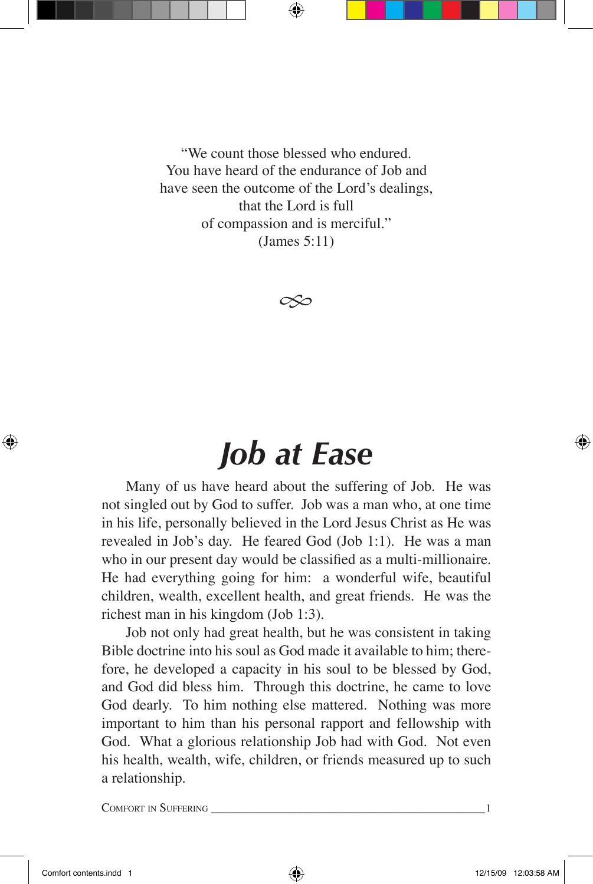"We count those blessed who endured. You have heard of the endurance of Job and have seen the outcome of the Lord's dealings, that the Lord is full of compassion and is merciful." (James 5:11)

 $\infty$ 

# *Job at Ease*

Many of us have heard about the suffering of Job. He was not singled out by God to suffer. Job was a man who, at one time in his life, personally believed in the Lord Jesus Christ as He was revealed in Job's day. He feared God (Job 1:1). He was a man who in our present day would be classified as a multi-millionaire. He had everything going for him: a wonderful wife, beautiful children, wealth, excellent health, and great friends. He was the richest man in his kingdom (Job 1:3).

Job not only had great health, but he was consistent in taking Bible doctrine into his soul as God made it available to him; therefore, he developed a capacity in his soul to be blessed by God, and God did bless him. Through this doctrine, he came to love God dearly. To him nothing else mattered. Nothing was more important to him than his personal rapport and fellowship with God. What a glorious relationship Job had with God. Not even his health, wealth, wife, children, or friends measured up to such a relationship.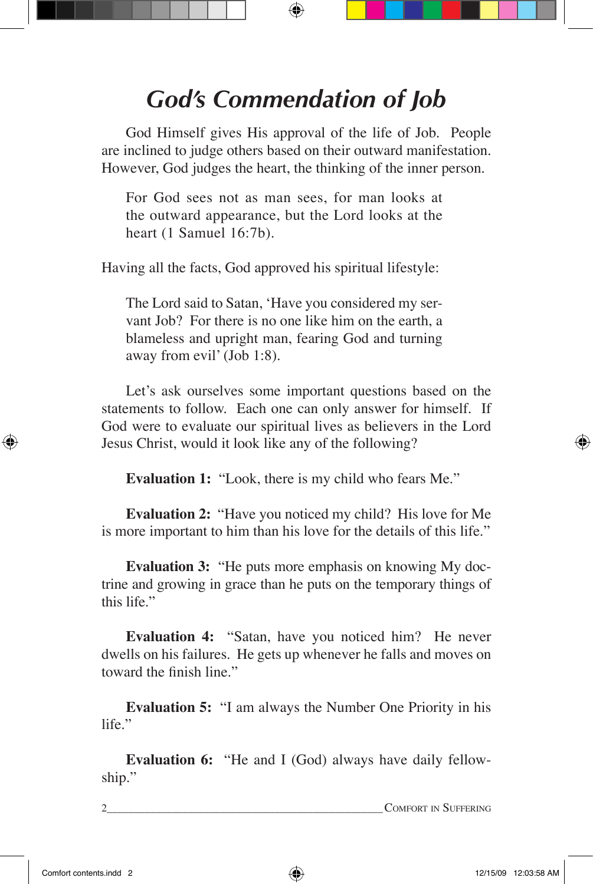# *God's Commendation of Job*

God Himself gives His approval of the life of Job. People are inclined to judge others based on their outward manifestation. However, God judges the heart, the thinking of the inner person.

For God sees not as man sees, for man looks at the outward appearance, but the Lord looks at the heart (1 Samuel 16:7b).

Having all the facts, God approved his spiritual lifestyle:

The Lord said to Satan, 'Have you considered my servant Job? For there is no one like him on the earth, a blameless and upright man, fearing God and turning away from evil' (Job 1:8).

Let's ask ourselves some important questions based on the statements to follow. Each one can only answer for himself. If God were to evaluate our spiritual lives as believers in the Lord Jesus Christ, would it look like any of the following?

**Evaluation 1:** "Look, there is my child who fears Me."

**Evaluation 2:** "Have you noticed my child? His love for Me is more important to him than his love for the details of this life."

**Evaluation 3:** "He puts more emphasis on knowing My doctrine and growing in grace than he puts on the temporary things of this life."

**Evaluation 4:** "Satan, have you noticed him? He never dwells on his failures. He gets up whenever he falls and moves on toward the finish line."

**Evaluation 5:** "I am always the Number One Priority in his life."

**Evaluation 6:** "He and I (God) always have daily fellowship."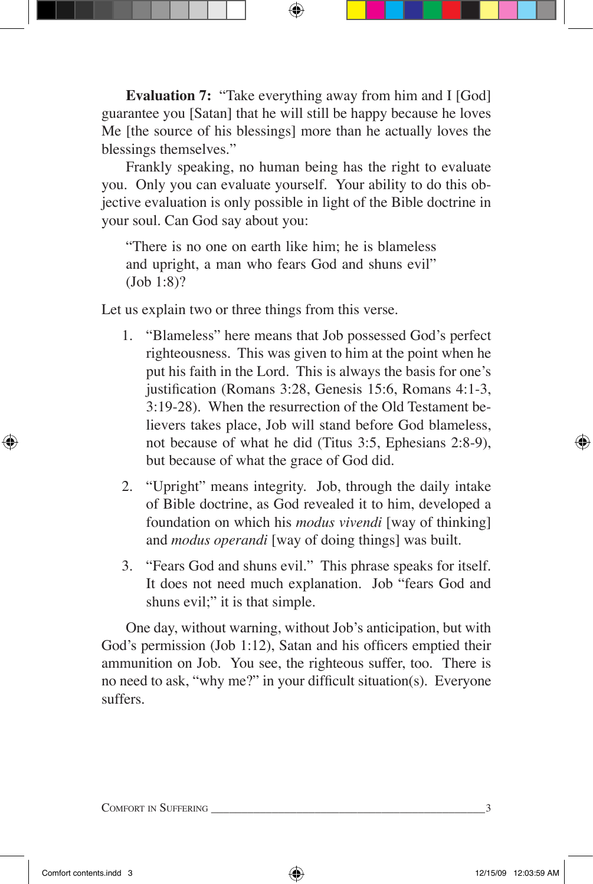**Evaluation 7:** "Take everything away from him and I [God] guarantee you [Satan] that he will still be happy because he loves Me [the source of his blessings] more than he actually loves the blessings themselves."

Frankly speaking, no human being has the right to evaluate you. Only you can evaluate yourself. Your ability to do this objective evaluation is only possible in light of the Bible doctrine in your soul. Can God say about you:

"There is no one on earth like him; he is blameless and upright, a man who fears God and shuns evil" (Job 1:8)?

Let us explain two or three things from this verse.

- 1. "Blameless" here means that Job possessed God's perfect righteousness. This was given to him at the point when he put his faith in the Lord. This is always the basis for one's justification (Romans 3:28, Genesis 15:6, Romans 4:1-3, 3:19-28). When the resurrection of the Old Testament believers takes place, Job will stand before God blameless, not because of what he did (Titus 3:5, Ephesians 2:8-9), but because of what the grace of God did.
- 2. "Upright" means integrity. Job, through the daily intake of Bible doctrine, as God revealed it to him, developed a foundation on which his *modus vivendi* [way of thinking] and *modus operandi* [way of doing things] was built.
- 3. "Fears God and shuns evil." This phrase speaks for itself. It does not need much explanation. Job "fears God and shuns evil;" it is that simple.

One day, without warning, without Job's anticipation, but with God's permission (Job 1:12), Satan and his officers emptied their ammunition on Job. You see, the righteous suffer, too. There is no need to ask, "why me?" in your difficult situation(s). Everyone suffers.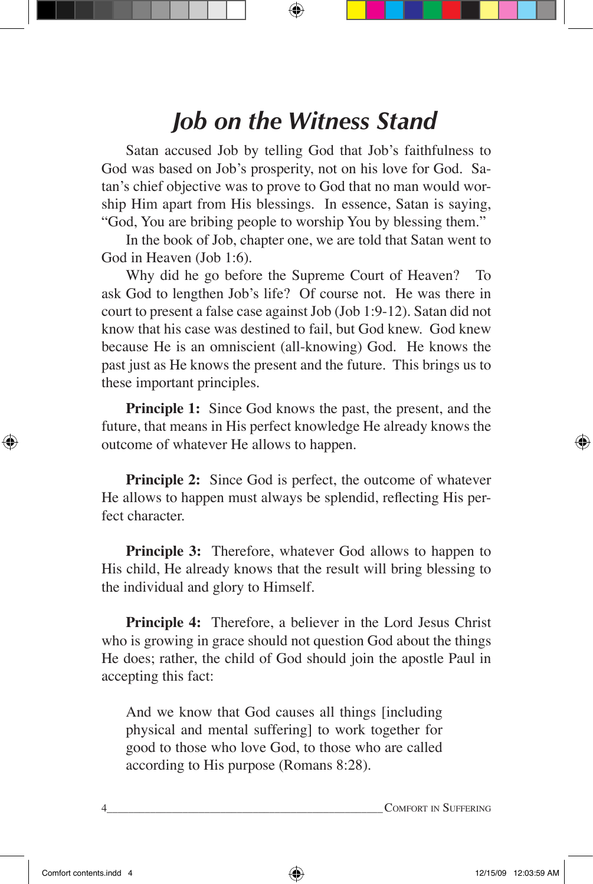### *Job on the Witness Stand*

Satan accused Job by telling God that Job's faithfulness to God was based on Job's prosperity, not on his love for God. Satan's chief objective was to prove to God that no man would worship Him apart from His blessings. In essence, Satan is saying, "God, You are bribing people to worship You by blessing them."

In the book of Job, chapter one, we are told that Satan went to God in Heaven (Job 1:6).

Why did he go before the Supreme Court of Heaven? To ask God to lengthen Job's life? Of course not. He was there in court to present a false case against Job (Job 1:9-12). Satan did not know that his case was destined to fail, but God knew. God knew because He is an omniscient (all-knowing) God. He knows the past just as He knows the present and the future. This brings us to these important principles.

**Principle 1:** Since God knows the past, the present, and the future, that means in His perfect knowledge He already knows the outcome of whatever He allows to happen.

**Principle 2:** Since God is perfect, the outcome of whatever He allows to happen must always be splendid, reflecting His perfect character.

**Principle 3:** Therefore, whatever God allows to happen to His child, He already knows that the result will bring blessing to the individual and glory to Himself.

**Principle 4:** Therefore, a believer in the Lord Jesus Christ who is growing in grace should not question God about the things He does; rather, the child of God should join the apostle Paul in accepting this fact:

And we know that God causes all things [including physical and mental suffering] to work together for good to those who love God, to those who are called according to His purpose (Romans 8:28).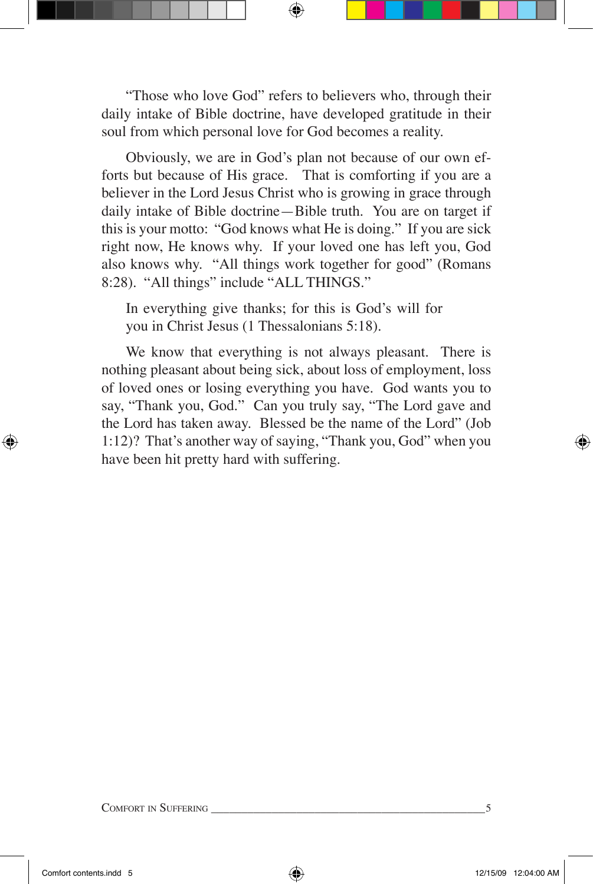"Those who love God" refers to believers who, through their daily intake of Bible doctrine, have developed gratitude in their soul from which personal love for God becomes a reality.

Obviously, we are in God's plan not because of our own efforts but because of His grace. That is comforting if you are a believer in the Lord Jesus Christ who is growing in grace through daily intake of Bible doctrine—Bible truth. You are on target if this is your motto: "God knows what He is doing." If you are sick right now, He knows why. If your loved one has left you, God also knows why. "All things work together for good" (Romans 8:28). "All things" include "ALL THINGS."

In everything give thanks; for this is God's will for you in Christ Jesus (1 Thessalonians 5:18).

We know that everything is not always pleasant. There is nothing pleasant about being sick, about loss of employment, loss of loved ones or losing everything you have. God wants you to say, "Thank you, God." Can you truly say, "The Lord gave and the Lord has taken away. Blessed be the name of the Lord" (Job 1:12)? That's another way of saying, "Thank you, God" when you have been hit pretty hard with suffering.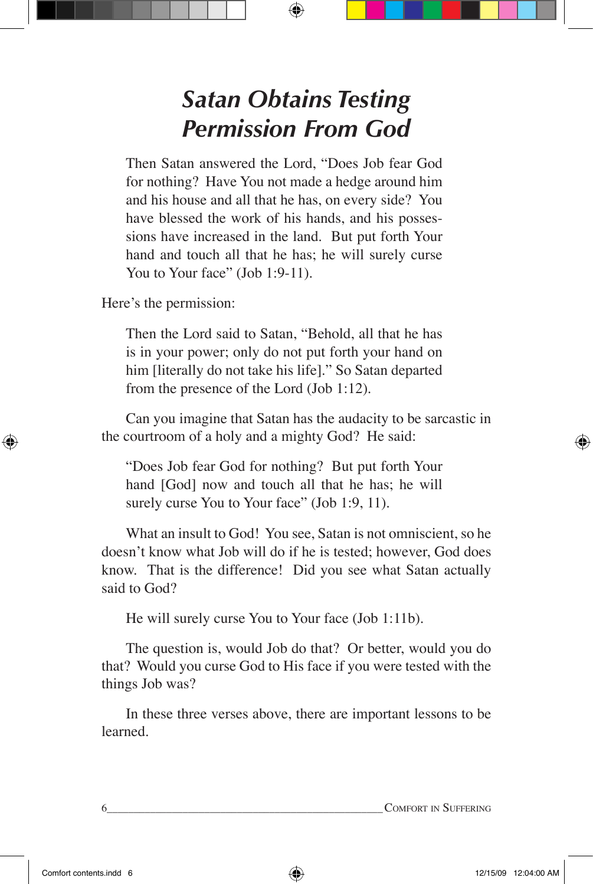### *Satan Obtains Testing Permission From God*

Then Satan answered the Lord, "Does Job fear God for nothing? Have You not made a hedge around him and his house and all that he has, on every side? You have blessed the work of his hands, and his possessions have increased in the land. But put forth Your hand and touch all that he has; he will surely curse You to Your face" (Job 1:9-11).

Here's the permission:

Then the Lord said to Satan, "Behold, all that he has is in your power; only do not put forth your hand on him [literally do not take his life]." So Satan departed from the presence of the Lord (Job 1:12).

Can you imagine that Satan has the audacity to be sarcastic in the courtroom of a holy and a mighty God? He said:

"Does Job fear God for nothing? But put forth Your hand [God] now and touch all that he has; he will surely curse You to Your face" (Job 1:9, 11).

What an insult to God! You see, Satan is not omniscient, so he doesn't know what Job will do if he is tested; however, God does know. That is the difference! Did you see what Satan actually said to God?

He will surely curse You to Your face (Job 1:11b).

The question is, would Job do that? Or better, would you do that? Would you curse God to His face if you were tested with the things Job was?

In these three verses above, there are important lessons to be learned.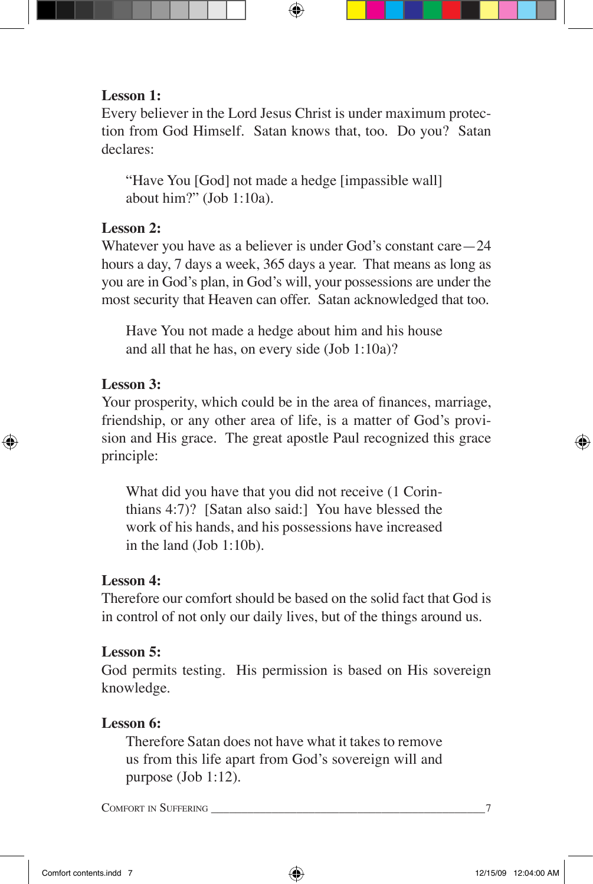#### **Lesson 1:**

Every believer in the Lord Jesus Christ is under maximum protection from God Himself. Satan knows that, too. Do you? Satan declares:

"Have You [God] not made a hedge [impassible wall] about him?" (Job 1:10a).

#### **Lesson 2:**

Whatever you have as a believer is under God's constant care—24 hours a day, 7 days a week, 365 days a year. That means as long as you are in God's plan, in God's will, your possessions are under the most security that Heaven can offer. Satan acknowledged that too.

Have You not made a hedge about him and his house and all that he has, on every side (Job 1:10a)?

#### **Lesson 3:**

Your prosperity, which could be in the area of finances, marriage, friendship, or any other area of life, is a matter of God's provision and His grace. The great apostle Paul recognized this grace principle:

What did you have that you did not receive (1 Corinthians 4:7)? [Satan also said:] You have blessed the work of his hands, and his possessions have increased in the land (Job 1:10b).

#### **Lesson 4:**

Therefore our comfort should be based on the solid fact that God is in control of not only our daily lives, but of the things around us.

#### **Lesson 5:**

God permits testing. His permission is based on His sovereign knowledge.

#### **Lesson 6:**

Therefore Satan does not have what it takes to remove us from this life apart from God's sovereign will and purpose (Job 1:12).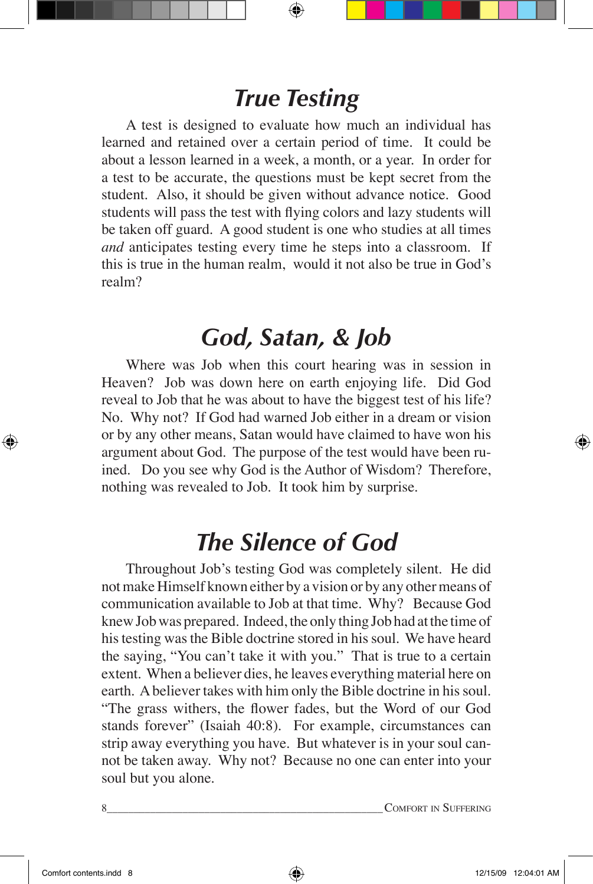#### *True Testing*

A test is designed to evaluate how much an individual has learned and retained over a certain period of time. It could be about a lesson learned in a week, a month, or a year. In order for a test to be accurate, the questions must be kept secret from the student. Also, it should be given without advance notice. Good students will pass the test with flying colors and lazy students will be taken off guard. A good student is one who studies at all times *and* anticipates testing every time he steps into a classroom. If this is true in the human realm, would it not also be true in God's realm?

#### *God, Satan, & Job*

Where was Job when this court hearing was in session in Heaven? Job was down here on earth enjoying life. Did God reveal to Job that he was about to have the biggest test of his life? No. Why not? If God had warned Job either in a dream or vision or by any other means, Satan would have claimed to have won his argument about God. The purpose of the test would have been ruined. Do you see why God is the Author of Wisdom? Therefore, nothing was revealed to Job. It took him by surprise.

### *The Silence of God*

Throughout Job's testing God was completely silent. He did not make Himself known either by a vision or by any other means of communication available to Job at that time. Why? Because God knew Job was prepared. Indeed, the only thing Job had at the time of his testing was the Bible doctrine stored in his soul. We have heard the saying, "You can't take it with you." That is true to a certain extent. When a believer dies, he leaves everything material here on earth. A believer takes with him only the Bible doctrine in his soul. "The grass withers, the flower fades, but the Word of our God stands forever" (Isaiah 40:8). For example, circumstances can strip away everything you have. But whatever is in your soul cannot be taken away. Why not? Because no one can enter into your soul but you alone.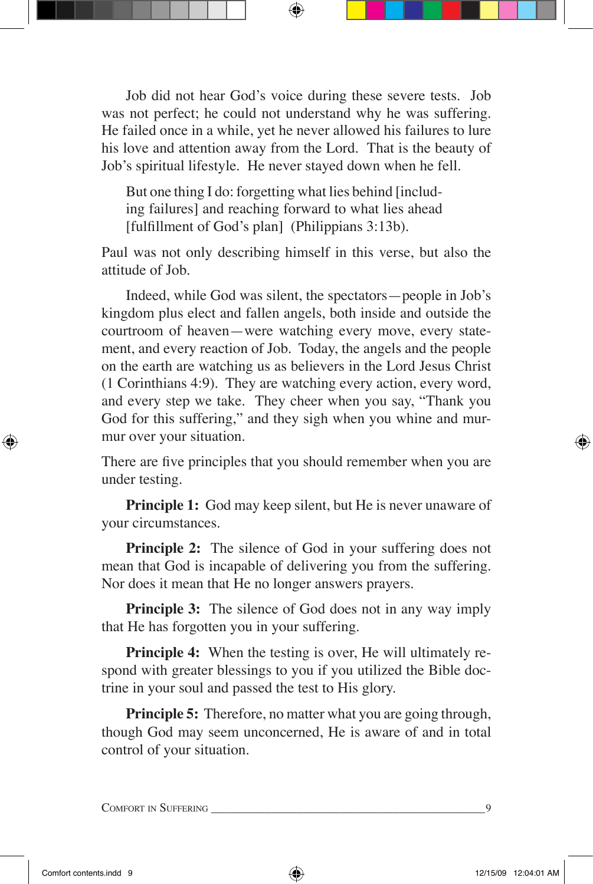Job did not hear God's voice during these severe tests. Job was not perfect; he could not understand why he was suffering. He failed once in a while, yet he never allowed his failures to lure his love and attention away from the Lord. That is the beauty of Job's spiritual lifestyle. He never stayed down when he fell.

But one thing I do: forgetting what lies behind [including failures] and reaching forward to what lies ahead [fulfillment of God's plan] (Philippians 3:13b).

Paul was not only describing himself in this verse, but also the attitude of Job.

Indeed, while God was silent, the spectators—people in Job's kingdom plus elect and fallen angels, both inside and outside the courtroom of heaven—were watching every move, every statement, and every reaction of Job. Today, the angels and the people on the earth are watching us as believers in the Lord Jesus Christ (1 Corinthians 4:9). They are watching every action, every word, and every step we take. They cheer when you say, "Thank you God for this suffering," and they sigh when you whine and murmur over your situation.

There are five principles that you should remember when you are under testing.

**Principle 1:** God may keep silent, but He is never unaware of your circumstances.

**Principle 2:** The silence of God in your suffering does not mean that God is incapable of delivering you from the suffering. Nor does it mean that He no longer answers prayers.

**Principle 3:** The silence of God does not in any way imply that He has forgotten you in your suffering.

**Principle 4:** When the testing is over, He will ultimately respond with greater blessings to you if you utilized the Bible doctrine in your soul and passed the test to His glory.

**Principle 5:** Therefore, no matter what you are going through, though God may seem unconcerned, He is aware of and in total control of your situation.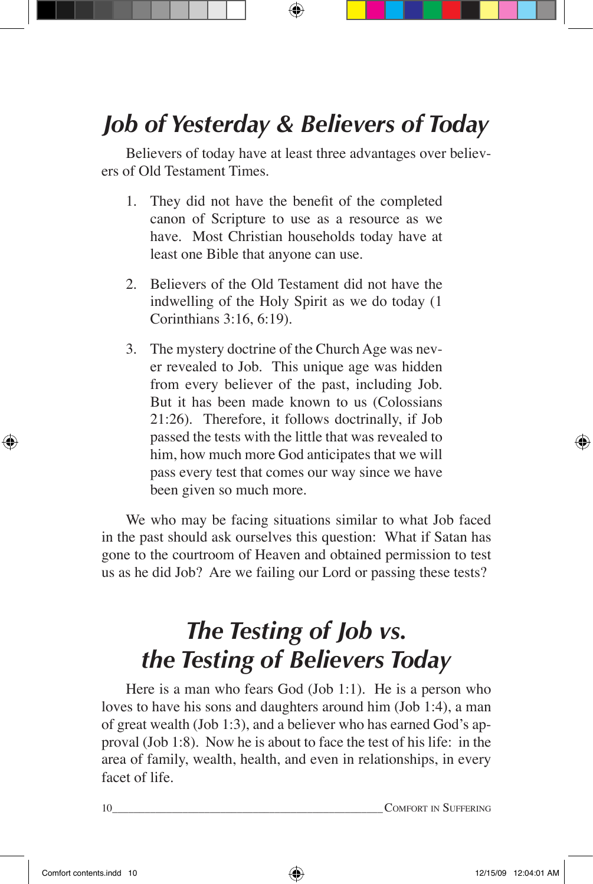# *Job of Yesterday & Believers of Today*

Believers of today have at least three advantages over believers of Old Testament Times.

- 1. They did not have the benefit of the completed canon of Scripture to use as a resource as we have. Most Christian households today have at least one Bible that anyone can use.
- 2. Believers of the Old Testament did not have the indwelling of the Holy Spirit as we do today (1 Corinthians 3:16, 6:19).
- 3. The mystery doctrine of the Church Age was never revealed to Job. This unique age was hidden from every believer of the past, including Job. But it has been made known to us (Colossians 21:26). Therefore, it follows doctrinally, if Job passed the tests with the little that was revealed to him, how much more God anticipates that we will pass every test that comes our way since we have been given so much more.

We who may be facing situations similar to what Job faced in the past should ask ourselves this question: What if Satan has gone to the courtroom of Heaven and obtained permission to test us as he did Job? Are we failing our Lord or passing these tests?

# *The Testing of Job vs. the Testing of Believers Today*

Here is a man who fears God (Job 1:1). He is a person who loves to have his sons and daughters around him (Job 1:4), a man of great wealth (Job 1:3), and a believer who has earned God's approval (Job 1:8). Now he is about to face the test of his life: in the area of family, wealth, health, and even in relationships, in every facet of life.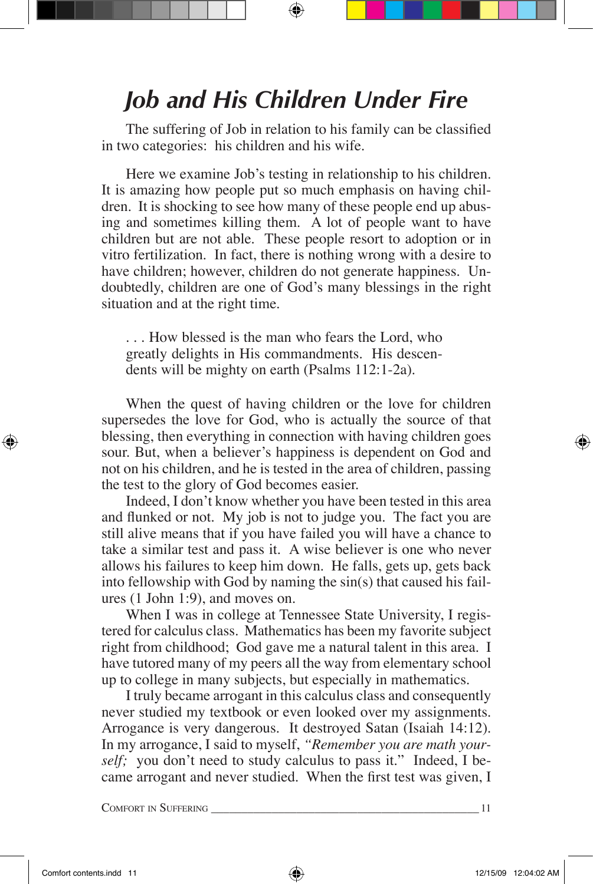#### *Job and His Children Under Fire*

The suffering of Job in relation to his family can be classified in two categories: his children and his wife.

Here we examine Job's testing in relationship to his children. It is amazing how people put so much emphasis on having children. It is shocking to see how many of these people end up abusing and sometimes killing them. A lot of people want to have children but are not able. These people resort to adoption or in vitro fertilization. In fact, there is nothing wrong with a desire to have children; however, children do not generate happiness. Undoubtedly, children are one of God's many blessings in the right situation and at the right time.

. . . How blessed is the man who fears the Lord, who greatly delights in His commandments. His descendents will be mighty on earth (Psalms 112:1-2a).

When the quest of having children or the love for children supersedes the love for God, who is actually the source of that blessing, then everything in connection with having children goes sour. But, when a believer's happiness is dependent on God and not on his children, and he is tested in the area of children, passing the test to the glory of God becomes easier.

Indeed, I don't know whether you have been tested in this area and flunked or not. My job is not to judge you. The fact you are still alive means that if you have failed you will have a chance to take a similar test and pass it. A wise believer is one who never allows his failures to keep him down. He falls, gets up, gets back into fellowship with God by naming the sin(s) that caused his failures (1 John 1:9), and moves on.

 When I was in college at Tennessee State University, I registered for calculus class. Mathematics has been my favorite subject right from childhood; God gave me a natural talent in this area. I have tutored many of my peers all the way from elementary school up to college in many subjects, but especially in mathematics.

I truly became arrogant in this calculus class and consequently never studied my textbook or even looked over my assignments. Arrogance is very dangerous. It destroyed Satan (Isaiah 14:12). In my arrogance, I said to myself, *"Remember you are math yourself;* you don't need to study calculus to pass it." Indeed, I became arrogant and never studied. When the first test was given, I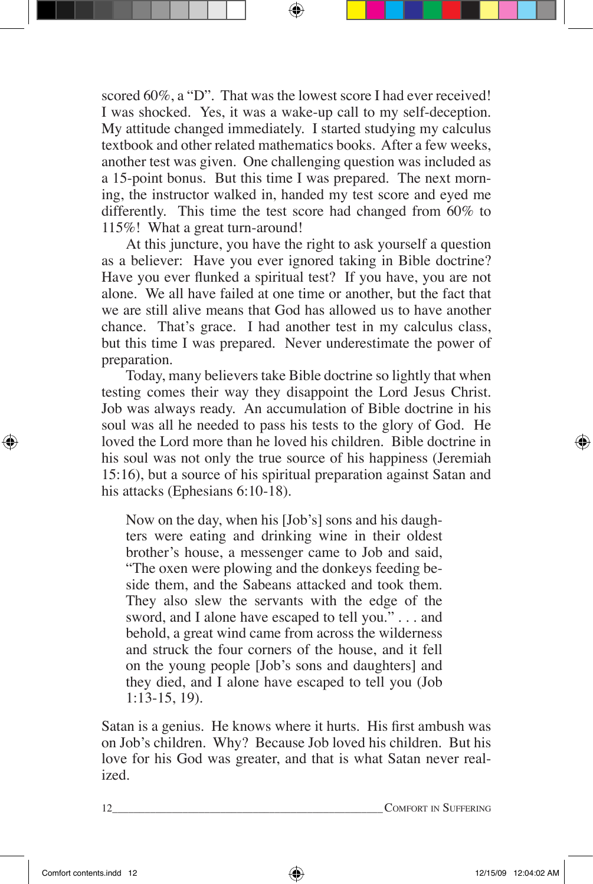scored 60%, a "D". That was the lowest score I had ever received! I was shocked. Yes, it was a wake-up call to my self-deception. My attitude changed immediately. I started studying my calculus textbook and other related mathematics books. After a few weeks, another test was given. One challenging question was included as a 15-point bonus. But this time I was prepared. The next morning, the instructor walked in, handed my test score and eyed me differently. This time the test score had changed from 60% to 115%! What a great turn-around!

At this juncture, you have the right to ask yourself a question as a believer: Have you ever ignored taking in Bible doctrine? Have you ever flunked a spiritual test? If you have, you are not alone. We all have failed at one time or another, but the fact that we are still alive means that God has allowed us to have another chance. That's grace. I had another test in my calculus class, but this time I was prepared. Never underestimate the power of preparation.

 Today, many believers take Bible doctrine so lightly that when testing comes their way they disappoint the Lord Jesus Christ. Job was always ready. An accumulation of Bible doctrine in his soul was all he needed to pass his tests to the glory of God. He loved the Lord more than he loved his children. Bible doctrine in his soul was not only the true source of his happiness (Jeremiah 15:16), but a source of his spiritual preparation against Satan and his attacks (Ephesians 6:10-18).

Now on the day, when his [Job's] sons and his daughters were eating and drinking wine in their oldest brother's house, a messenger came to Job and said, "The oxen were plowing and the donkeys feeding beside them, and the Sabeans attacked and took them. They also slew the servants with the edge of the sword, and I alone have escaped to tell you." . . . and behold, a great wind came from across the wilderness and struck the four corners of the house, and it fell on the young people [Job's sons and daughters] and they died, and I alone have escaped to tell you (Job 1:13-15, 19).

Satan is a genius. He knows where it hurts. His first ambush was on Job's children. Why? Because Job loved his children. But his love for his God was greater, and that is what Satan never realized.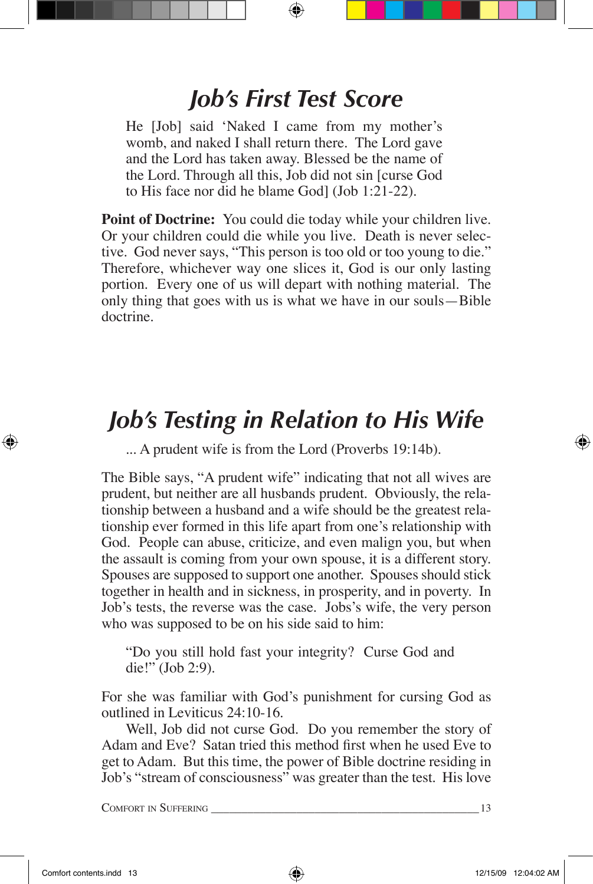### *Job's First Test Score*

He [Job] said 'Naked I came from my mother's womb, and naked I shall return there. The Lord gave and the Lord has taken away. Blessed be the name of the Lord. Through all this, Job did not sin [curse God to His face nor did he blame God] (Job 1:21-22).

**Point of Doctrine:** You could die today while your children live. Or your children could die while you live. Death is never selective. God never says, "This person is too old or too young to die." Therefore, whichever way one slices it, God is our only lasting portion. Every one of us will depart with nothing material. The only thing that goes with us is what we have in our souls—Bible doctrine.

### *Job's Testing in Relation to His Wife*

... A prudent wife is from the Lord (Proverbs 19:14b).

The Bible says, "A prudent wife" indicating that not all wives are prudent, but neither are all husbands prudent. Obviously, the relationship between a husband and a wife should be the greatest relationship ever formed in this life apart from one's relationship with God. People can abuse, criticize, and even malign you, but when the assault is coming from your own spouse, it is a different story. Spouses are supposed to support one another. Spouses should stick together in health and in sickness, in prosperity, and in poverty. In Job's tests, the reverse was the case. Jobs's wife, the very person who was supposed to be on his side said to him:

"Do you still hold fast your integrity? Curse God and die!" (Job 2:9).

For she was familiar with God's punishment for cursing God as outlined in Leviticus 24:10-16.

Well, Job did not curse God. Do you remember the story of Adam and Eve? Satan tried this method first when he used Eve to get to Adam. But this time, the power of Bible doctrine residing in Job's "stream of consciousness" was greater than the test. His love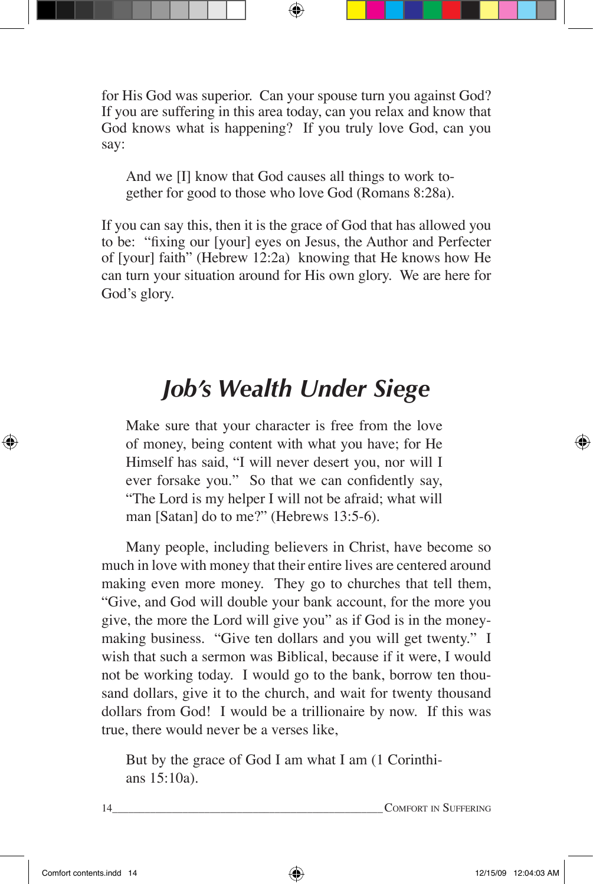for His God was superior. Can your spouse turn you against God? If you are suffering in this area today, can you relax and know that God knows what is happening? If you truly love God, can you say:

And we [I] know that God causes all things to work together for good to those who love God (Romans 8:28a).

If you can say this, then it is the grace of God that has allowed you to be: "fixing our [your] eyes on Jesus, the Author and Perfecter of [your] faith" (Hebrew 12:2a) knowing that He knows how He can turn your situation around for His own glory. We are here for God's glory.

#### *Job's Wealth Under Siege*

Make sure that your character is free from the love of money, being content with what you have; for He Himself has said, "I will never desert you, nor will I ever forsake you." So that we can confidently say, "The Lord is my helper I will not be afraid; what will man [Satan] do to me?" (Hebrews 13:5-6).

Many people, including believers in Christ, have become so much in love with money that their entire lives are centered around making even more money. They go to churches that tell them, "Give, and God will double your bank account, for the more you give, the more the Lord will give you" as if God is in the moneymaking business. "Give ten dollars and you will get twenty." I wish that such a sermon was Biblical, because if it were, I would not be working today. I would go to the bank, borrow ten thousand dollars, give it to the church, and wait for twenty thousand dollars from God! I would be a trillionaire by now. If this was true, there would never be a verses like,

But by the grace of God I am what I am (1 Corinthians 15:10a).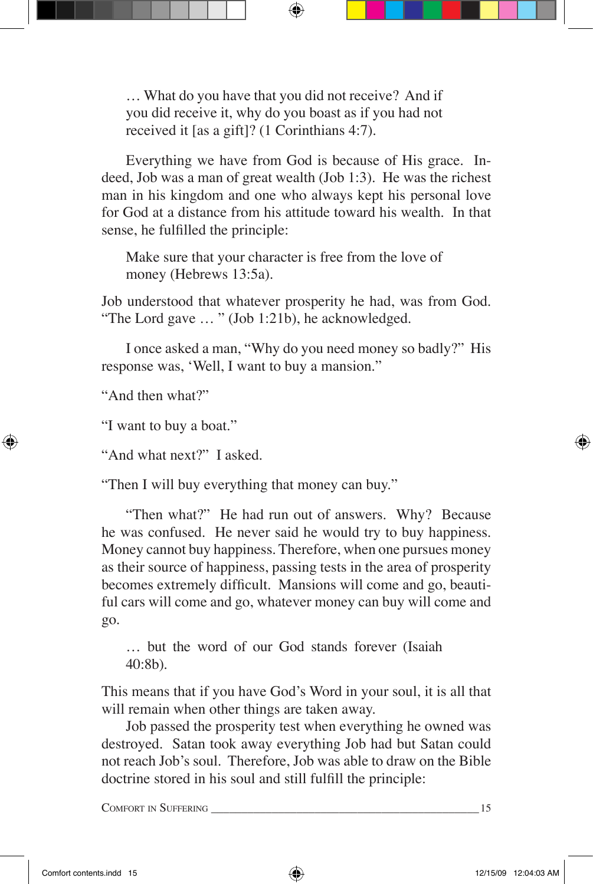… What do you have that you did not receive? And if you did receive it, why do you boast as if you had not received it [as a gift]? (1 Corinthians 4:7).

Everything we have from God is because of His grace. Indeed, Job was a man of great wealth (Job 1:3). He was the richest man in his kingdom and one who always kept his personal love for God at a distance from his attitude toward his wealth. In that sense, he fulfilled the principle:

Make sure that your character is free from the love of money (Hebrews 13:5a).

Job understood that whatever prosperity he had, was from God. "The Lord gave … " (Job 1:21b), he acknowledged.

I once asked a man, "Why do you need money so badly?" His response was, 'Well, I want to buy a mansion."

"And then what?"

"I want to buy a boat."

"And what next?" I asked.

"Then I will buy everything that money can buy."

"Then what?" He had run out of answers. Why? Because he was confused. He never said he would try to buy happiness. Money cannot buy happiness. Therefore, when one pursues money as their source of happiness, passing tests in the area of prosperity becomes extremely difficult. Mansions will come and go, beautiful cars will come and go, whatever money can buy will come and go.

… but the word of our God stands forever (Isaiah 40:8b).

This means that if you have God's Word in your soul, it is all that will remain when other things are taken away.

Job passed the prosperity test when everything he owned was destroyed. Satan took away everything Job had but Satan could not reach Job's soul. Therefore, Job was able to draw on the Bible doctrine stored in his soul and still fulfill the principle: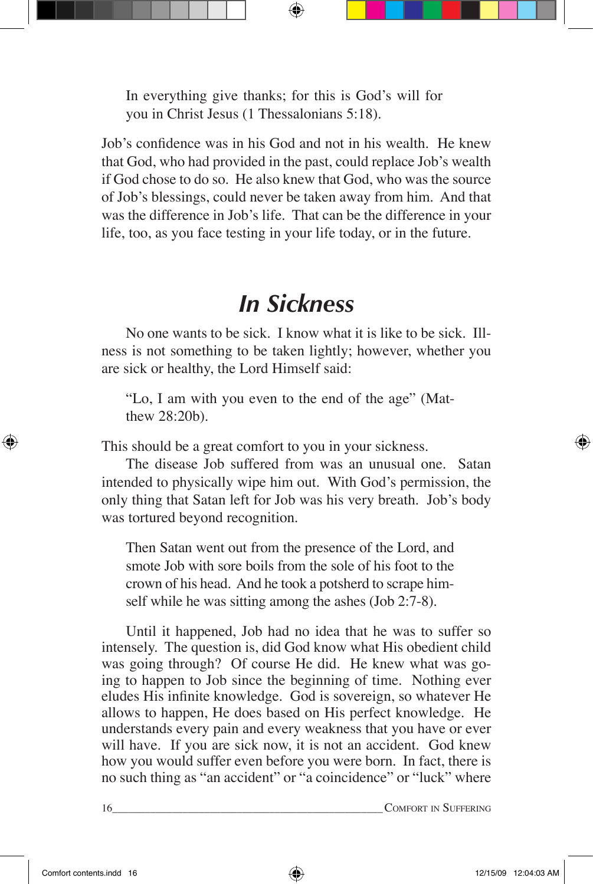In everything give thanks; for this is God's will for you in Christ Jesus (1 Thessalonians 5:18).

Job's confidence was in his God and not in his wealth. He knew that God, who had provided in the past, could replace Job's wealth if God chose to do so. He also knew that God, who was the source of Job's blessings, could never be taken away from him. And that was the difference in Job's life. That can be the difference in your life, too, as you face testing in your life today, or in the future.

#### *In Sickness*

No one wants to be sick. I know what it is like to be sick. Illness is not something to be taken lightly; however, whether you are sick or healthy, the Lord Himself said:

"Lo, I am with you even to the end of the age" (Matthew 28:20b).

This should be a great comfort to you in your sickness.

The disease Job suffered from was an unusual one. Satan intended to physically wipe him out. With God's permission, the only thing that Satan left for Job was his very breath. Job's body was tortured beyond recognition.

Then Satan went out from the presence of the Lord, and smote Job with sore boils from the sole of his foot to the crown of his head. And he took a potsherd to scrape himself while he was sitting among the ashes (Job 2:7-8).

Until it happened, Job had no idea that he was to suffer so intensely. The question is, did God know what His obedient child was going through? Of course He did. He knew what was going to happen to Job since the beginning of time. Nothing ever eludes His infinite knowledge. God is sovereign, so whatever He allows to happen, He does based on His perfect knowledge. He understands every pain and every weakness that you have or ever will have. If you are sick now, it is not an accident. God knew how you would suffer even before you were born. In fact, there is no such thing as "an accident" or "a coincidence" or "luck" where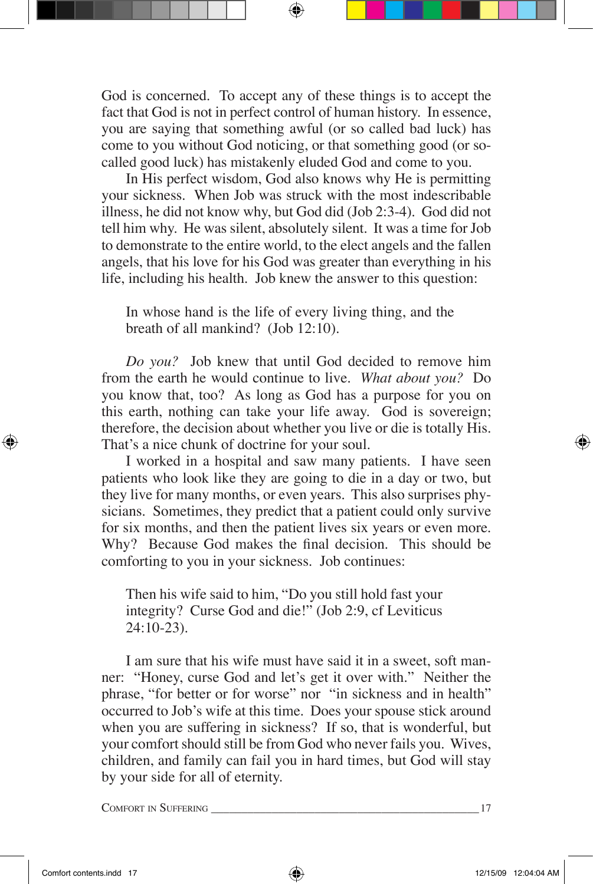God is concerned. To accept any of these things is to accept the fact that God is not in perfect control of human history. In essence, you are saying that something awful (or so called bad luck) has come to you without God noticing, or that something good (or socalled good luck) has mistakenly eluded God and come to you.

In His perfect wisdom, God also knows why He is permitting your sickness. When Job was struck with the most indescribable illness, he did not know why, but God did (Job 2:3-4). God did not tell him why. He was silent, absolutely silent. It was a time for Job to demonstrate to the entire world, to the elect angels and the fallen angels, that his love for his God was greater than everything in his life, including his health. Job knew the answer to this question:

In whose hand is the life of every living thing, and the breath of all mankind? (Job 12:10).

*Do you?* Job knew that until God decided to remove him from the earth he would continue to live. *What about you?* Do you know that, too? As long as God has a purpose for you on this earth, nothing can take your life away. God is sovereign; therefore, the decision about whether you live or die is totally His. That's a nice chunk of doctrine for your soul.

I worked in a hospital and saw many patients. I have seen patients who look like they are going to die in a day or two, but they live for many months, or even years. This also surprises physicians. Sometimes, they predict that a patient could only survive for six months, and then the patient lives six years or even more. Why? Because God makes the final decision. This should be comforting to you in your sickness. Job continues:

Then his wife said to him, "Do you still hold fast your integrity? Curse God and die!" (Job 2:9, cf Leviticus 24:10-23).

I am sure that his wife must have said it in a sweet, soft manner: "Honey, curse God and let's get it over with." Neither the phrase, "for better or for worse" nor "in sickness and in health" occurred to Job's wife at this time. Does your spouse stick around when you are suffering in sickness? If so, that is wonderful, but your comfort should still be from God who never fails you. Wives, children, and family can fail you in hard times, but God will stay by your side for all of eternity.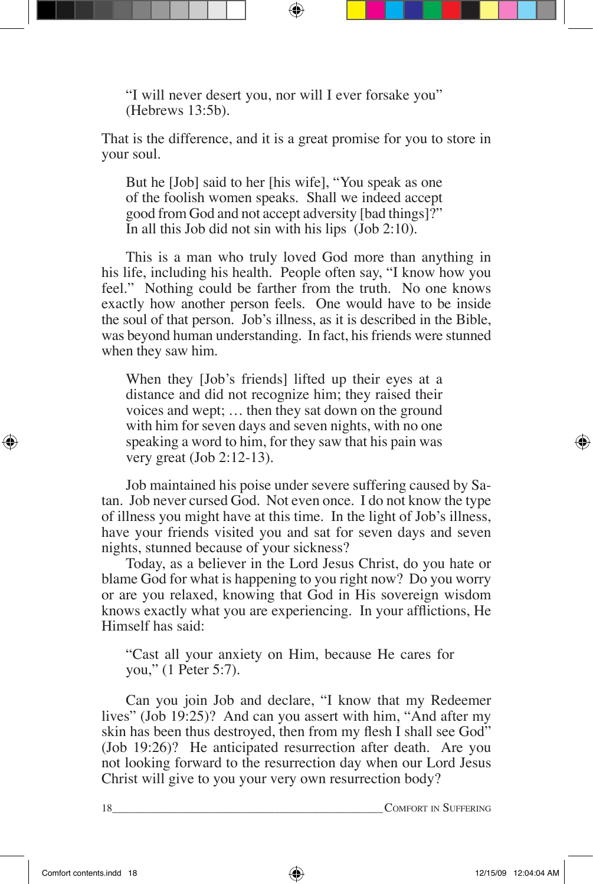"I will never desert you, nor will I ever forsake you" (Hebrews 13:5b).

That is the difference, and it is a great promise for you to store in your soul.

But he [Job] said to her [his wife], "You speak as one of the foolish women speaks. Shall we indeed accept good from God and not accept adversity [bad things]?" In all this Job did not sin with his lips (Job 2:10).

This is a man who truly loved God more than anything in his life, including his health. People often say, "I know how you feel." Nothing could be farther from the truth. No one knows exactly how another person feels. One would have to be inside the soul of that person. Job's illness, as it is described in the Bible, was beyond human understanding. In fact, his friends were stunned when they saw him.

When they [Job's friends] lifted up their eyes at a distance and did not recognize him; they raised their voices and wept; … then they sat down on the ground with him for seven days and seven nights, with no one speaking a word to him, for they saw that his pain was very great (Job 2:12-13).

Job maintained his poise under severe suffering caused by Satan. Job never cursed God. Not even once. I do not know the type of illness you might have at this time. In the light of Job's illness, have your friends visited you and sat for seven days and seven nights, stunned because of your sickness?

Today, as a believer in the Lord Jesus Christ, do you hate or blame God for what is happening to you right now? Do you worry or are you relaxed, knowing that God in His sovereign wisdom knows exactly what you are experiencing. In your afflictions, He Himself has said:

"Cast all your anxiety on Him, because He cares for you," (1 Peter 5:7).

Can you join Job and declare, "I know that my Redeemer lives" (Job 19:25)? And can you assert with him, "And after my skin has been thus destroyed, then from my flesh I shall see God" (Job 19:26)? He anticipated resurrection after death. Are you not looking forward to the resurrection day when our Lord Jesus Christ will give to you your very own resurrection body?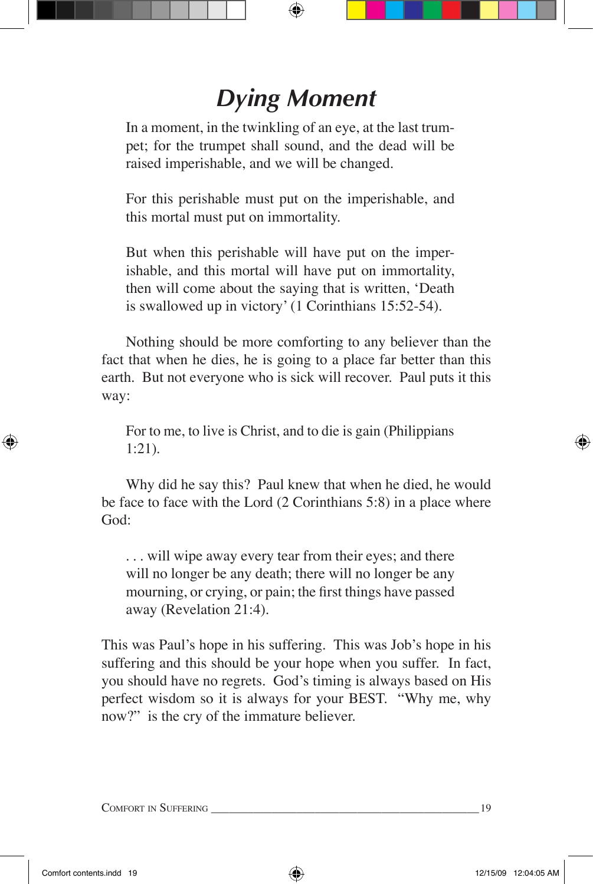# *Dying Moment*

In a moment, in the twinkling of an eye, at the last trumpet; for the trumpet shall sound, and the dead will be raised imperishable, and we will be changed.

For this perishable must put on the imperishable, and this mortal must put on immortality.

But when this perishable will have put on the imperishable, and this mortal will have put on immortality, then will come about the saying that is written, 'Death is swallowed up in victory' (1 Corinthians 15:52-54).

Nothing should be more comforting to any believer than the fact that when he dies, he is going to a place far better than this earth. But not everyone who is sick will recover. Paul puts it this way:

For to me, to live is Christ, and to die is gain (Philippians 1:21).

Why did he say this? Paul knew that when he died, he would be face to face with the Lord (2 Corinthians 5:8) in a place where God:

. . . will wipe away every tear from their eyes; and there will no longer be any death; there will no longer be any mourning, or crying, or pain; the first things have passed away (Revelation 21:4).

This was Paul's hope in his suffering. This was Job's hope in his suffering and this should be your hope when you suffer. In fact, you should have no regrets. God's timing is always based on His perfect wisdom so it is always for your BEST. "Why me, why now?" is the cry of the immature believer.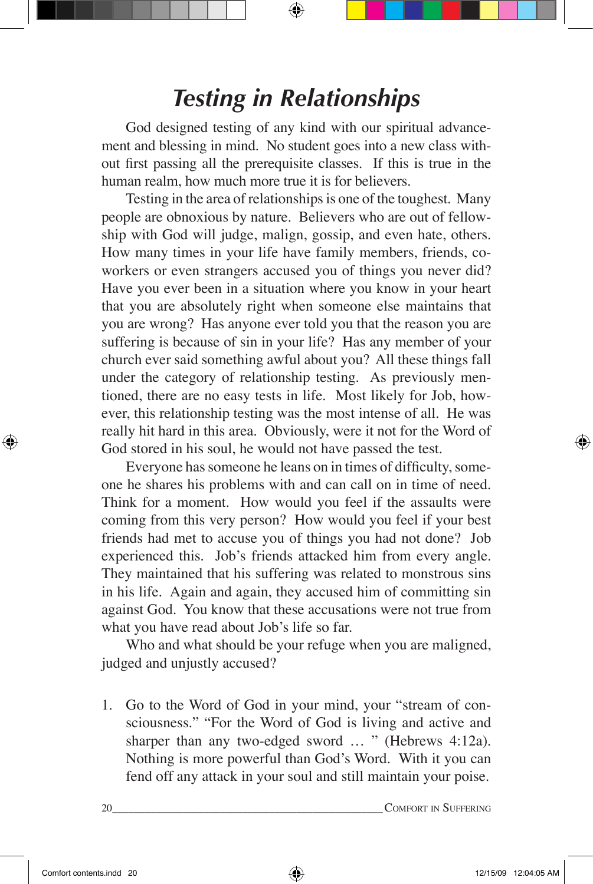### *Testing in Relationships*

God designed testing of any kind with our spiritual advancement and blessing in mind. No student goes into a new class without first passing all the prerequisite classes. If this is true in the human realm, how much more true it is for believers.

Testing in the area of relationships is one of the toughest. Many people are obnoxious by nature. Believers who are out of fellowship with God will judge, malign, gossip, and even hate, others. How many times in your life have family members, friends, coworkers or even strangers accused you of things you never did? Have you ever been in a situation where you know in your heart that you are absolutely right when someone else maintains that you are wrong? Has anyone ever told you that the reason you are suffering is because of sin in your life? Has any member of your church ever said something awful about you? All these things fall under the category of relationship testing. As previously mentioned, there are no easy tests in life. Most likely for Job, however, this relationship testing was the most intense of all. He was really hit hard in this area. Obviously, were it not for the Word of God stored in his soul, he would not have passed the test.

Everyone has someone he leans on in times of difficulty, someone he shares his problems with and can call on in time of need. Think for a moment. How would you feel if the assaults were coming from this very person? How would you feel if your best friends had met to accuse you of things you had not done? Job experienced this. Job's friends attacked him from every angle. They maintained that his suffering was related to monstrous sins in his life. Again and again, they accused him of committing sin against God. You know that these accusations were not true from what you have read about Job's life so far.

Who and what should be your refuge when you are maligned, judged and unjustly accused?

1. Go to the Word of God in your mind, your "stream of consciousness." "For the Word of God is living and active and sharper than any two-edged sword ... " (Hebrews 4:12a). Nothing is more powerful than God's Word. With it you can fend off any attack in your soul and still maintain your poise.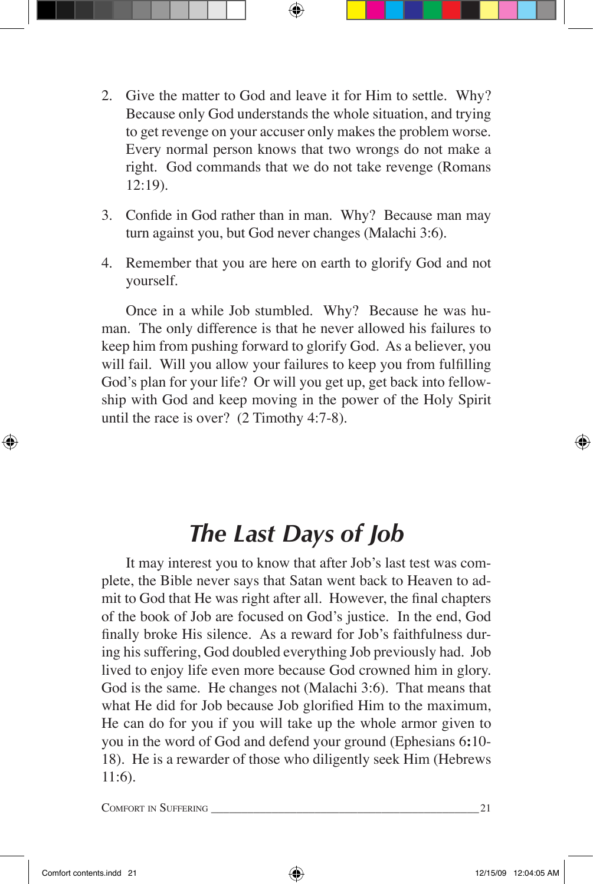- 2. Give the matter to God and leave it for Him to settle. Why? Because only God understands the whole situation, and trying to get revenge on your accuser only makes the problem worse. Every normal person knows that two wrongs do not make a right. God commands that we do not take revenge (Romans 12:19).
- 3. Confide in God rather than in man. Why? Because man may turn against you, but God never changes (Malachi 3:6).
- 4. Remember that you are here on earth to glorify God and not yourself.

Once in a while Job stumbled. Why? Because he was human. The only difference is that he never allowed his failures to keep him from pushing forward to glorify God. As a believer, you will fail. Will you allow your failures to keep you from fulfilling God's plan for your life? Or will you get up, get back into fellowship with God and keep moving in the power of the Holy Spirit until the race is over? (2 Timothy 4:7-8).

#### *The Last Days of Job*

It may interest you to know that after Job's last test was complete, the Bible never says that Satan went back to Heaven to admit to God that He was right after all. However, the final chapters of the book of Job are focused on God's justice. In the end, God finally broke His silence. As a reward for Job's faithfulness during his suffering, God doubled everything Job previously had. Job lived to enjoy life even more because God crowned him in glory. God is the same. He changes not (Malachi 3:6). That means that what He did for Job because Job glorified Him to the maximum, He can do for you if you will take up the whole armor given to you in the word of God and defend your ground (Ephesians 6**:**10- 18). He is a rewarder of those who diligently seek Him (Hebrews 11:6).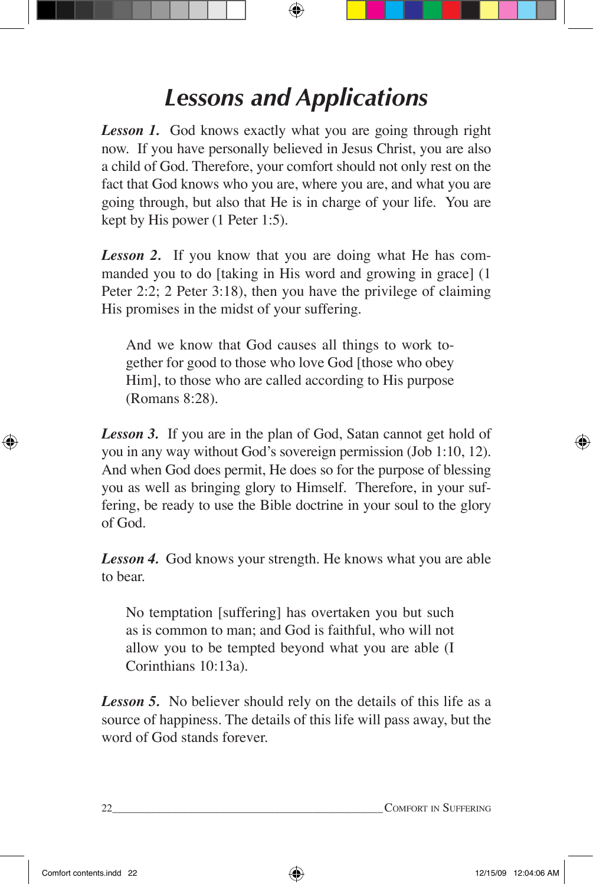# *Lessons and Applications*

*Lesson 1.* God knows exactly what you are going through right now. If you have personally believed in Jesus Christ, you are also a child of God. Therefore, your comfort should not only rest on the fact that God knows who you are, where you are, and what you are going through, but also that He is in charge of your life. You are kept by His power (1 Peter 1:5).

*Lesson 2.* If you know that you are doing what He has commanded you to do [taking in His word and growing in grace] (1 Peter 2:2; 2 Peter 3:18), then you have the privilege of claiming His promises in the midst of your suffering.

And we know that God causes all things to work together for good to those who love God [those who obey Him], to those who are called according to His purpose (Romans 8:28).

**Lesson 3.** If you are in the plan of God, Satan cannot get hold of you in any way without God's sovereign permission (Job 1:10, 12). And when God does permit, He does so for the purpose of blessing you as well as bringing glory to Himself. Therefore, in your suffering, be ready to use the Bible doctrine in your soul to the glory of God.

*Lesson 4.* God knows your strength. He knows what you are able to bear.

No temptation [suffering] has overtaken you but such as is common to man; and God is faithful, who will not allow you to be tempted beyond what you are able (I Corinthians 10:13a).

*Lesson 5.* No believer should rely on the details of this life as a source of happiness. The details of this life will pass away, but the word of God stands forever.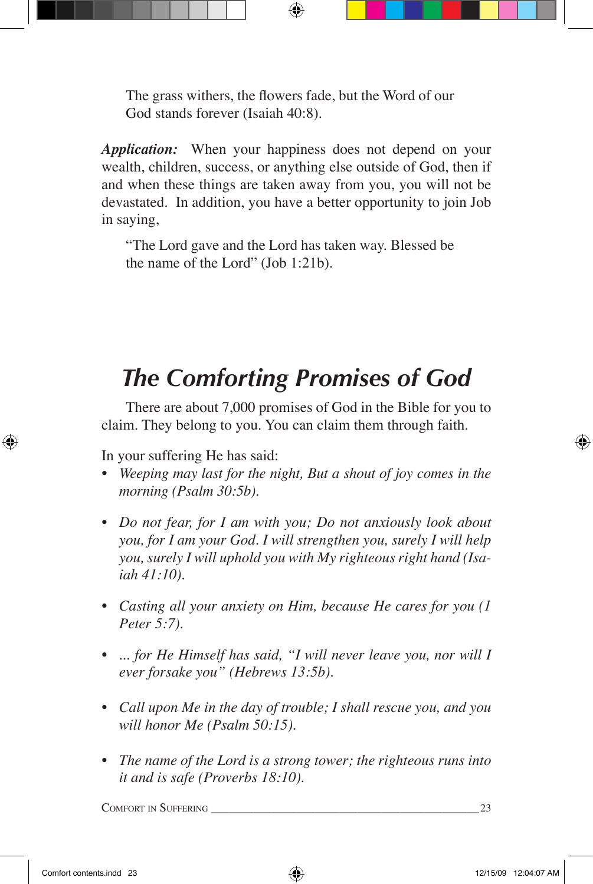The grass withers, the flowers fade, but the Word of our God stands forever (Isaiah 40:8).

*Application:* When your happiness does not depend on your wealth, children, success, or anything else outside of God, then if and when these things are taken away from you, you will not be devastated. In addition, you have a better opportunity to join Job in saying,

"The Lord gave and the Lord has taken way. Blessed be the name of the Lord" (Job 1:21b).

# *The Comforting Promises of God*

There are about 7,000 promises of God in the Bible for you to claim. They belong to you. You can claim them through faith.

In your suffering He has said:

- *• Weeping may last for the night, But a shout of joy comes in the morning (Psalm 30:5b).*
- *• Do not fear, for I am with you; Do not anxiously look about you, for I am your God. I will strengthen you, surely I will help you, surely I will uphold you with My righteous right hand (Isaiah 41:10).*
- *• Casting all your anxiety on Him, because He cares for you (1 Peter 5:7).*
- *• ... for He Himself has said, "I will never leave you, nor will I ever forsake you" (Hebrews 13:5b).*
- *• Call upon Me in the day of trouble; I shall rescue you, and you will honor Me (Psalm 50:15).*
- *• The name of the Lord is a strong tower; the righteous runs into it and is safe (Proverbs 18:10).*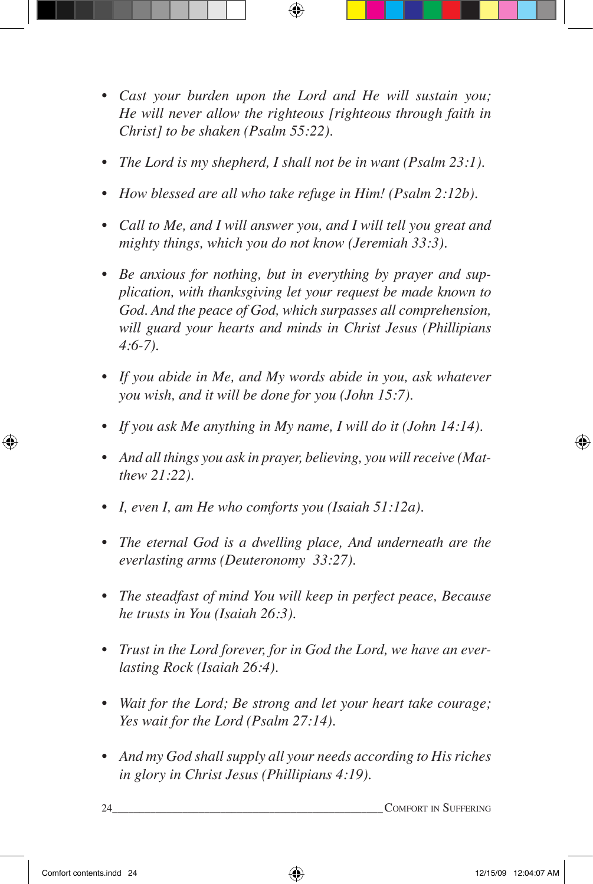- *• Cast your burden upon the Lord and He will sustain you; He will never allow the righteous [righteous through faith in Christ] to be shaken (Psalm 55:22).*
- *• The Lord is my shepherd, I shall not be in want (Psalm 23:1).*
- *• How blessed are all who take refuge in Him! (Psalm 2:12b).*
- *• Call to Me, and I will answer you, and I will tell you great and mighty things, which you do not know (Jeremiah 33:3).*
- *• Be anxious for nothing, but in everything by prayer and supplication, with thanksgiving let your request be made known to God. And the peace of God, which surpasses all comprehension, will guard your hearts and minds in Christ Jesus (Phillipians 4:6-7).*
- *• If you abide in Me, and My words abide in you, ask whatever you wish, and it will be done for you (John 15:7).*
- *• If you ask Me anything in My name, I will do it (John 14:14).*
- *• And all things you ask in prayer, believing, you will receive (Matthew 21:22).*
- *• I, even I, am He who comforts you (Isaiah 51:12a).*
- *• The eternal God is a dwelling place, And underneath are the everlasting arms (Deuteronomy 33:27).*
- *• The steadfast of mind You will keep in perfect peace, Because he trusts in You (Isaiah 26:3).*
- *• Trust in the Lord forever, for in God the Lord, we have an everlasting Rock (Isaiah 26:4).*
- *• Wait for the Lord; Be strong and let your heart take courage; Yes wait for the Lord (Psalm 27:14).*
- *• And my God shall supply all your needs according to His riches in glory in Christ Jesus (Phillipians 4:19).*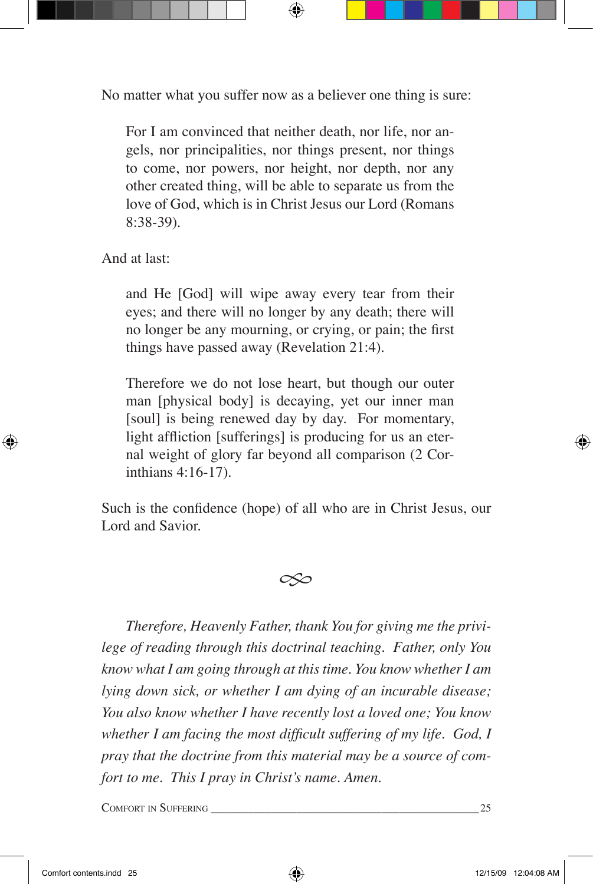No matter what you suffer now as a believer one thing is sure:

For I am convinced that neither death, nor life, nor angels, nor principalities, nor things present, nor things to come, nor powers, nor height, nor depth, nor any other created thing, will be able to separate us from the love of God, which is in Christ Jesus our Lord (Romans 8:38-39).

And at last:

and He [God] will wipe away every tear from their eyes; and there will no longer by any death; there will no longer be any mourning, or crying, or pain; the first things have passed away (Revelation 21:4).

Therefore we do not lose heart, but though our outer man [physical body] is decaying, yet our inner man [soul] is being renewed day by day. For momentary, light affliction [sufferings] is producing for us an eternal weight of glory far beyond all comparison (2 Corinthians 4:16-17).

Such is the confidence (hope) of all who are in Christ Jesus, our Lord and Savior.



*Therefore, Heavenly Father, thank You for giving me the privilege of reading through this doctrinal teaching. Father, only You know what I am going through at this time. You know whether I am lying down sick, or whether I am dying of an incurable disease; You also know whether I have recently lost a loved one; You know whether I am facing the most difficult suffering of my life. God, I pray that the doctrine from this material may be a source of comfort to me. This I pray in Christ's name. Amen.*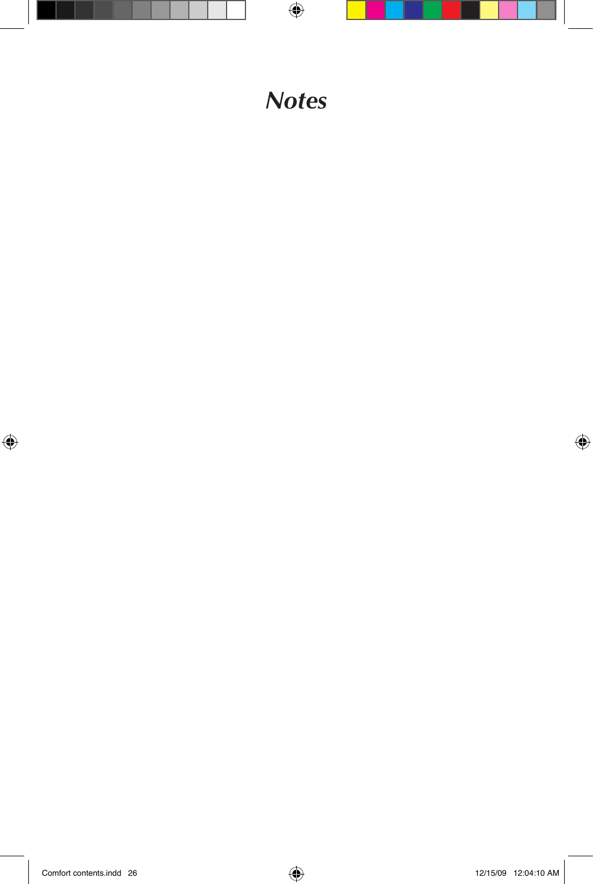#### *Notes*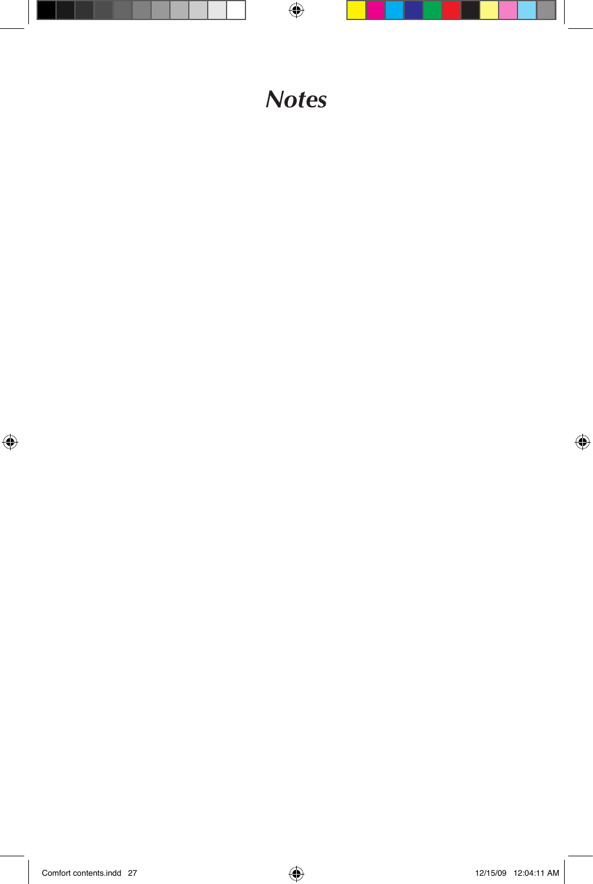#### *Notes*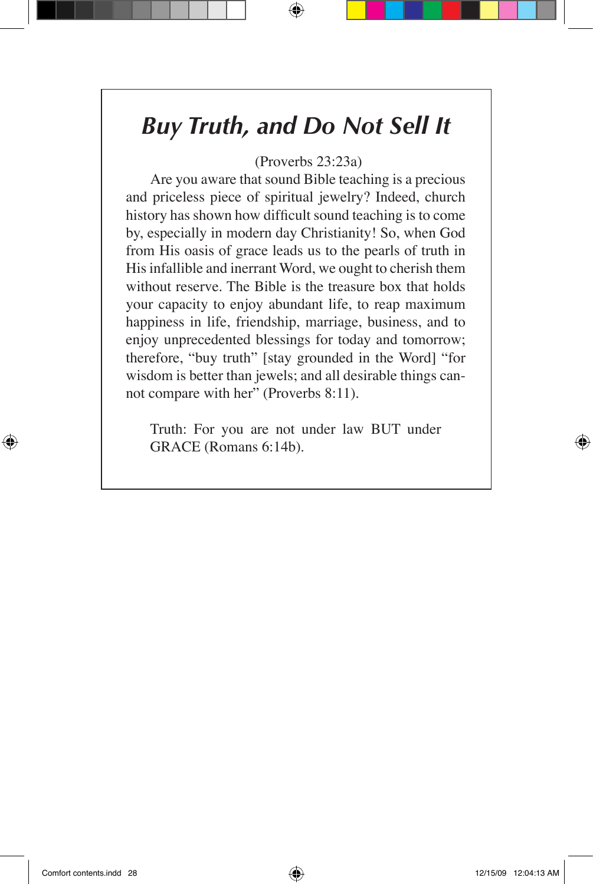#### *Buy Truth, and Do Not Sell It*

(Proverbs 23:23a)

Are you aware that sound Bible teaching is a precious and priceless piece of spiritual jewelry? Indeed, church history has shown how difficult sound teaching is to come by, especially in modern day Christianity! So, when God from His oasis of grace leads us to the pearls of truth in His infallible and inerrant Word, we ought to cherish them without reserve. The Bible is the treasure box that holds your capacity to enjoy abundant life, to reap maximum happiness in life, friendship, marriage, business, and to enjoy unprecedented blessings for today and tomorrow; therefore, "buy truth" [stay grounded in the Word] "for wisdom is better than jewels; and all desirable things cannot compare with her" (Proverbs 8:11).

Truth: For you are not under law BUT under GRACE (Romans 6:14b).